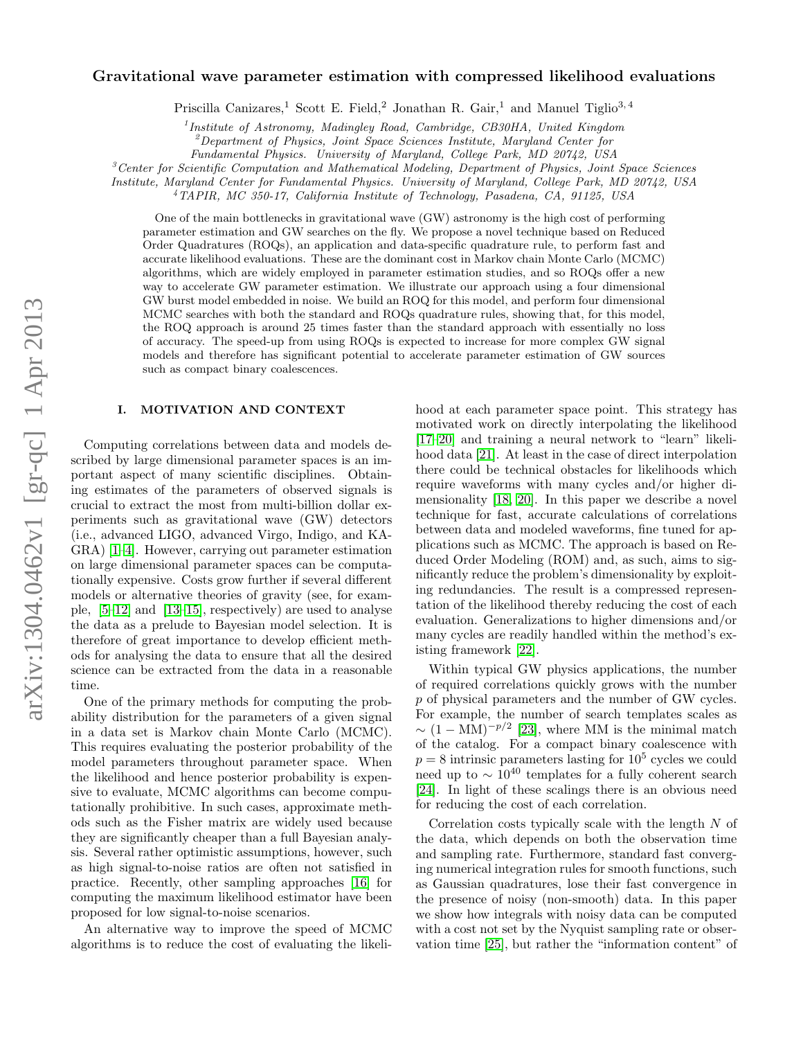# arXiv:1304.0462v1 [gr-qc] 1 Apr 2013 arXiv:1304.0462v1 [gr-qc] 1 Apr 2013

# Gravitational wave parameter estimation with compressed likelihood evaluations

Priscilla Canizares,<sup>1</sup> Scott E. Field,<sup>2</sup> Jonathan R. Gair,<sup>1</sup> and Manuel Tiglio<sup>3, 4</sup>

<sup>1</sup> Institute of Astronomy, Madingley Road, Cambridge, CB30HA, United Kingdom

<sup>2</sup>Department of Physics, Joint Space Sciences Institute, Maryland Center for

Fundamental Physics. University of Maryland, College Park, MD 20742, USA

 ${}^{3}$ Center for Scientific Computation and Mathematical Modeling, Department of Physics, Joint Space Sciences

Institute, Maryland Center for Fundamental Physics. University of Maryland, College Park, MD 20742, USA

<sup>4</sup>TAPIR, MC 350-17, California Institute of Technology, Pasadena, CA, 91125, USA

One of the main bottlenecks in gravitational wave (GW) astronomy is the high cost of performing parameter estimation and GW searches on the fly. We propose a novel technique based on Reduced Order Quadratures (ROQs), an application and data-specific quadrature rule, to perform fast and accurate likelihood evaluations. These are the dominant cost in Markov chain Monte Carlo (MCMC) algorithms, which are widely employed in parameter estimation studies, and so ROQs offer a new way to accelerate GW parameter estimation. We illustrate our approach using a four dimensional GW burst model embedded in noise. We build an ROQ for this model, and perform four dimensional MCMC searches with both the standard and ROQs quadrature rules, showing that, for this model, the ROQ approach is around 25 times faster than the standard approach with essentially no loss of accuracy. The speed-up from using ROQs is expected to increase for more complex GW signal models and therefore has significant potential to accelerate parameter estimation of GW sources such as compact binary coalescences.

# I. MOTIVATION AND CONTEXT

Computing correlations between data and models described by large dimensional parameter spaces is an important aspect of many scientific disciplines. Obtaining estimates of the parameters of observed signals is crucial to extract the most from multi-billion dollar experiments such as gravitational wave (GW) detectors (i.e., advanced LIGO, advanced Virgo, Indigo, and KA-GRA) [\[1–](#page-16-0)[4\]](#page-16-1). However, carrying out parameter estimation on large dimensional parameter spaces can be computationally expensive. Costs grow further if several different models or alternative theories of gravity (see, for example, [\[5–](#page-16-2)[12\]](#page-16-3) and [\[13–](#page-16-4)[15\]](#page-16-5), respectively) are used to analyse the data as a prelude to Bayesian model selection. It is therefore of great importance to develop efficient methods for analysing the data to ensure that all the desired science can be extracted from the data in a reasonable time.

One of the primary methods for computing the probability distribution for the parameters of a given signal in a data set is Markov chain Monte Carlo (MCMC). This requires evaluating the posterior probability of the model parameters throughout parameter space. When the likelihood and hence posterior probability is expensive to evaluate, MCMC algorithms can become computationally prohibitive. In such cases, approximate methods such as the Fisher matrix are widely used because they are significantly cheaper than a full Bayesian analysis. Several rather optimistic assumptions, however, such as high signal-to-noise ratios are often not satisfied in practice. Recently, other sampling approaches [\[16\]](#page-16-6) for computing the maximum likelihood estimator have been proposed for low signal-to-noise scenarios.

An alternative way to improve the speed of MCMC algorithms is to reduce the cost of evaluating the likelihood at each parameter space point. This strategy has motivated work on directly interpolating the likelihood [\[17–](#page-16-7)[20\]](#page-16-8) and training a neural network to "learn" likelihood data [\[21\]](#page-16-9). At least in the case of direct interpolation there could be technical obstacles for likelihoods which require waveforms with many cycles and/or higher dimensionality [\[18,](#page-16-10) [20\]](#page-16-8). In this paper we describe a novel technique for fast, accurate calculations of correlations between data and modeled waveforms, fine tuned for applications such as MCMC. The approach is based on Reduced Order Modeling (ROM) and, as such, aims to significantly reduce the problem's dimensionality by exploiting redundancies. The result is a compressed representation of the likelihood thereby reducing the cost of each evaluation. Generalizations to higher dimensions and/or many cycles are readily handled within the method's existing framework [\[22\]](#page-16-11).

Within typical GW physics applications, the number of required correlations quickly grows with the number p of physical parameters and the number of GW cycles. For example, the number of search templates scales as  $\sim (1 - MM)^{-p/2}$  [\[23\]](#page-16-12), where MM is the minimal match of the catalog. For a compact binary coalescence with  $p = 8$  intrinsic parameters lasting for  $10^5$  cycles we could need up to  $\sim 10^{40}$  templates for a fully coherent search [\[24\]](#page-16-13). In light of these scalings there is an obvious need for reducing the cost of each correlation.

Correlation costs typically scale with the length N of the data, which depends on both the observation time and sampling rate. Furthermore, standard fast converging numerical integration rules for smooth functions, such as Gaussian quadratures, lose their fast convergence in the presence of noisy (non-smooth) data. In this paper we show how integrals with noisy data can be computed with a cost not set by the Nyquist sampling rate or observation time [\[25\]](#page-16-14), but rather the "information content" of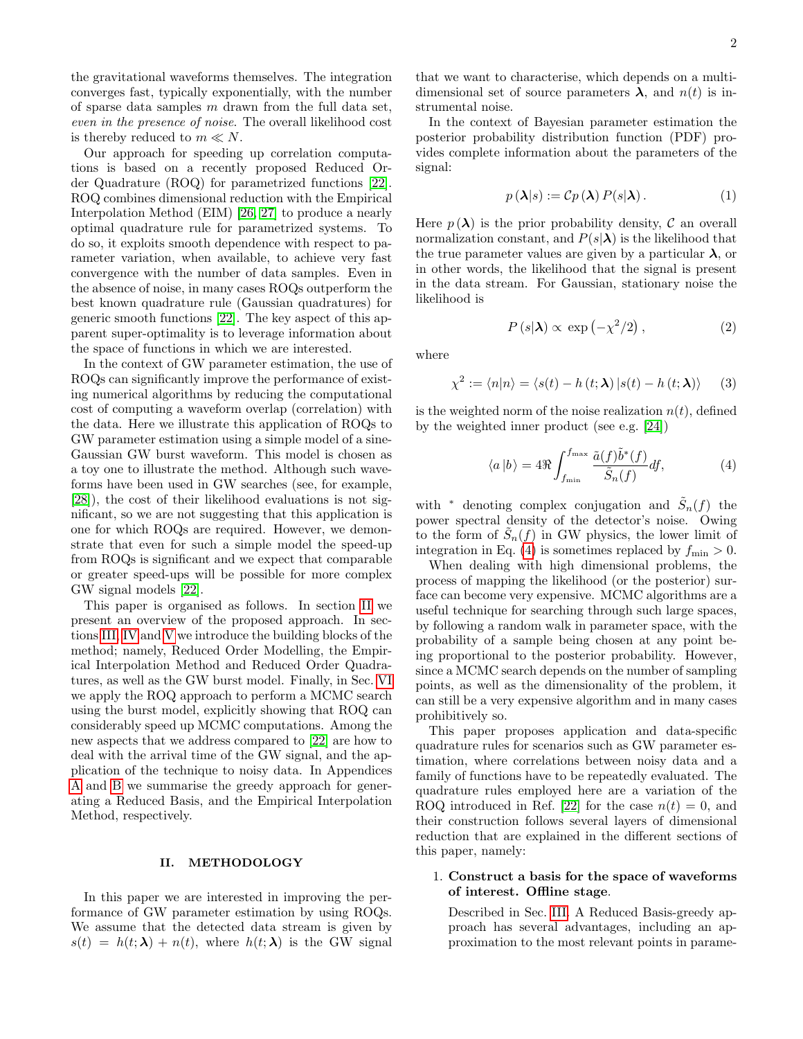the gravitational waveforms themselves. The integration converges fast, typically exponentially, with the number of sparse data samples  $m$  drawn from the full data set, even in the presence of noise. The overall likelihood cost is thereby reduced to  $m \ll N$ .

Our approach for speeding up correlation computations is based on a recently proposed Reduced Order Quadrature (ROQ) for parametrized functions [\[22\]](#page-16-11). ROQ combines dimensional reduction with the Empirical Interpolation Method (EIM) [\[26,](#page-16-15) [27\]](#page-16-16) to produce a nearly optimal quadrature rule for parametrized systems. To do so, it exploits smooth dependence with respect to parameter variation, when available, to achieve very fast convergence with the number of data samples. Even in the absence of noise, in many cases ROQs outperform the best known quadrature rule (Gaussian quadratures) for generic smooth functions [\[22\]](#page-16-11). The key aspect of this apparent super-optimality is to leverage information about the space of functions in which we are interested.

In the context of GW parameter estimation, the use of ROQs can significantly improve the performance of existing numerical algorithms by reducing the computational cost of computing a waveform overlap (correlation) with the data. Here we illustrate this application of ROQs to GW parameter estimation using a simple model of a sine-Gaussian GW burst waveform. This model is chosen as a toy one to illustrate the method. Although such waveforms have been used in GW searches (see, for example, [\[28\]](#page-16-17)), the cost of their likelihood evaluations is not significant, so we are not suggesting that this application is one for which ROQs are required. However, we demonstrate that even for such a simple model the speed-up from ROQs is significant and we expect that comparable or greater speed-ups will be possible for more complex GW signal models [\[22\]](#page-16-11).

This paper is organised as follows. In section [II](#page-1-0) we present an overview of the proposed approach. In sections [III,](#page-2-0) [IV](#page-4-0) and [V](#page-5-0) we introduce the building blocks of the method; namely, Reduced Order Modelling, the Empirical Interpolation Method and Reduced Order Quadratures, as well as the GW burst model. Finally, in Sec. [VI](#page-10-0) we apply the ROQ approach to perform a MCMC search using the burst model, explicitly showing that ROQ can considerably speed up MCMC computations. Among the new aspects that we address compared to [\[22\]](#page-16-11) are how to deal with the arrival time of the GW signal, and the application of the technique to noisy data. In Appendices [A](#page-14-0) and [B](#page-15-0) we summarise the greedy approach for generating a Reduced Basis, and the Empirical Interpolation Method, respectively.

# <span id="page-1-0"></span>II. METHODOLOGY

In this paper we are interested in improving the performance of GW parameter estimation by using ROQs. We assume that the detected data stream is given by  $s(t) = h(t; \lambda) + n(t)$ , where  $h(t; \lambda)$  is the GW signal

that we want to characterise, which depends on a multidimensional set of source parameters  $\lambda$ , and  $n(t)$  is instrumental noise.

In the context of Bayesian parameter estimation the posterior probability distribution function (PDF) provides complete information about the parameters of the signal:

<span id="page-1-3"></span>
$$
p(\lambda|s) := Cp(\lambda) P(s|\lambda).
$$
 (1)

Here  $p(\lambda)$  is the prior probability density, C an overall normalization constant, and  $P(s|\lambda)$  is the likelihood that the true parameter values are given by a particular  $\lambda$ , or in other words, the likelihood that the signal is present in the data stream. For Gaussian, stationary noise the likelihood is

$$
P(s|\lambda) \propto \exp\left(-\chi^2/2\right),\tag{2}
$$

where

<span id="page-1-2"></span>
$$
\chi^2 := \langle n | n \rangle = \langle s(t) - h(t; \lambda) | s(t) - h(t; \lambda) \rangle \tag{3}
$$

is the weighted norm of the noise realization  $n(t)$ , defined by the weighted inner product (see e.g. [\[24\]](#page-16-13))

<span id="page-1-1"></span>
$$
\langle a|b\rangle = 4\Re \int_{f_{\min}}^{f_{\max}} \frac{\tilde{a}(f)\tilde{b}^*(f)}{\tilde{S}_n(f)} df, \tag{4}
$$

with <sup>\*</sup> denoting complex conjugation and  $\tilde{S}_n(f)$  the power spectral density of the detector's noise. Owing to the form of  $\tilde{S}_n(f)$  in GW physics, the lower limit of integration in Eq. [\(4\)](#page-1-1) is sometimes replaced by  $f_{\min} > 0$ .

When dealing with high dimensional problems, the process of mapping the likelihood (or the posterior) surface can become very expensive. MCMC algorithms are a useful technique for searching through such large spaces, by following a random walk in parameter space, with the probability of a sample being chosen at any point being proportional to the posterior probability. However, since a MCMC search depends on the number of sampling points, as well as the dimensionality of the problem, it can still be a very expensive algorithm and in many cases prohibitively so.

This paper proposes application and data-specific quadrature rules for scenarios such as GW parameter estimation, where correlations between noisy data and a family of functions have to be repeatedly evaluated. The quadrature rules employed here are a variation of the ROQ introduced in Ref. [\[22\]](#page-16-11) for the case  $n(t) = 0$ , and their construction follows several layers of dimensional reduction that are explained in the different sections of this paper, namely:

# 1. Construct a basis for the space of waveforms of interest. Offline stage.

Described in Sec. [III.](#page-2-0) A Reduced Basis-greedy approach has several advantages, including an approximation to the most relevant points in parame-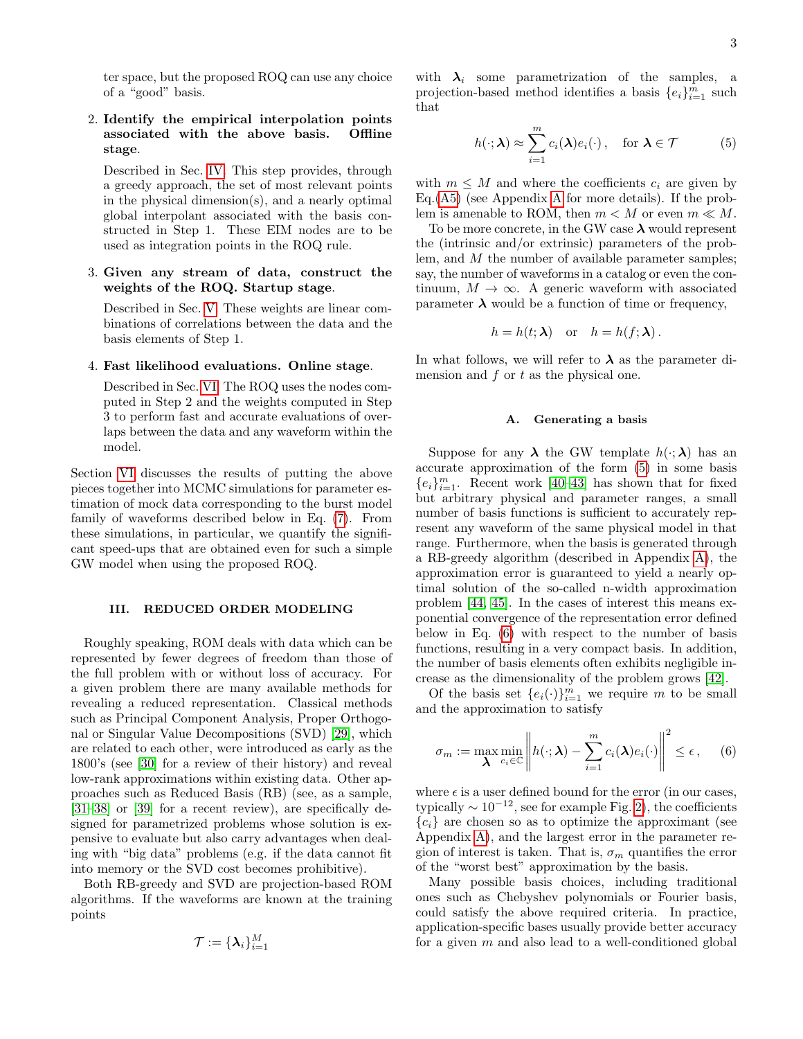ter space, but the proposed ROQ can use any choice of a "good" basis.

# 2. Identify the empirical interpolation points associated with the above basis. Offline stage.

Described in Sec. [IV.](#page-4-0) This step provides, through a greedy approach, the set of most relevant points in the physical dimension(s), and a nearly optimal global interpolant associated with the basis constructed in Step 1. These EIM nodes are to be used as integration points in the ROQ rule.

# 3. Given any stream of data, construct the weights of the ROQ. Startup stage.

Described in Sec. [V.](#page-5-0) These weights are linear combinations of correlations between the data and the basis elements of Step 1.

# 4. Fast likelihood evaluations. Online stage.

Described in Sec. [VI.](#page-10-0) The ROQ uses the nodes computed in Step 2 and the weights computed in Step 3 to perform fast and accurate evaluations of overlaps between the data and any waveform within the model.

Section [VI](#page-10-0) discusses the results of putting the above pieces together into MCMC simulations for parameter estimation of mock data corresponding to the burst model family of waveforms described below in Eq. [\(7\)](#page-3-0). From these simulations, in particular, we quantify the significant speed-ups that are obtained even for such a simple GW model when using the proposed ROQ.

# <span id="page-2-0"></span>III. REDUCED ORDER MODELING

Roughly speaking, ROM deals with data which can be represented by fewer degrees of freedom than those of the full problem with or without loss of accuracy. For a given problem there are many available methods for revealing a reduced representation. Classical methods such as Principal Component Analysis, Proper Orthogonal or Singular Value Decompositions (SVD) [\[29\]](#page-16-18), which are related to each other, were introduced as early as the 1800's (see [\[30\]](#page-16-19) for a review of their history) and reveal low-rank approximations within existing data. Other approaches such as Reduced Basis (RB) (see, as a sample, [\[31–](#page-16-20)[38\]](#page-16-21) or [\[39\]](#page-16-22) for a recent review), are specifically designed for parametrized problems whose solution is expensive to evaluate but also carry advantages when dealing with "big data" problems (e.g. if the data cannot fit into memory or the SVD cost becomes prohibitive).

Both RB-greedy and SVD are projection-based ROM algorithms. If the waveforms are known at the training points

$$
\mathcal{T}:=\{\boldsymbol{\lambda}_i\}_{i=1}^M
$$

<span id="page-2-1"></span>with  $\lambda_i$  some parametrization of the samples, a projection-based method identifies a basis  ${e_i}_{i=1}^m$  such that

$$
h(\cdot; \lambda) \approx \sum_{i=1}^{m} c_i(\lambda) e_i(\cdot), \quad \text{for } \lambda \in \mathcal{T}
$$
 (5)

with  $m \leq M$  and where the coefficients  $c_i$  are given by Eq.[\(A5\)](#page-14-1) (see Appendix [A](#page-14-0) for more details). If the problem is amenable to ROM, then  $m < M$  or even  $m \ll M$ .

To be more concrete, in the GW case  $\lambda$  would represent the (intrinsic and/or extrinsic) parameters of the problem, and M the number of available parameter samples; say, the number of waveforms in a catalog or even the continuum,  $M \to \infty$ . A generic waveform with associated parameter  $\lambda$  would be a function of time or frequency,

$$
h = h(t; \lambda) \quad \text{or} \quad h = h(f; \lambda).
$$

In what follows, we will refer to  $\lambda$  as the parameter dimension and  $f$  or  $t$  as the physical one.

### A. Generating a basis

Suppose for any  $\lambda$  the GW template  $h(\cdot;\lambda)$  has an accurate approximation of the form [\(5\)](#page-2-1) in some basis  ${e_i}_{i=1}^m$ . Recent work [\[40–](#page-16-23)[43\]](#page-16-24) has shown that for fixed but arbitrary physical and parameter ranges, a small number of basis functions is sufficient to accurately represent any waveform of the same physical model in that range. Furthermore, when the basis is generated through a RB-greedy algorithm (described in Appendix [A\)](#page-14-0), the approximation error is guaranteed to yield a nearly optimal solution of the so-called n-width approximation problem [\[44,](#page-16-25) [45\]](#page-16-26). In the cases of interest this means exponential convergence of the representation error defined below in Eq. [\(6\)](#page-2-2) with respect to the number of basis functions, resulting in a very compact basis. In addition, the number of basis elements often exhibits negligible increase as the dimensionality of the problem grows [\[42\]](#page-16-27).

Of the basis set  $\{e_i(\cdot)\}_{i=1}^m$  we require m to be small and the approximation to satisfy

<span id="page-2-2"></span>
$$
\sigma_m := \max_{\boldsymbol{\lambda}} \min_{c_i \in \mathbb{C}} \left\| h(\cdot; \boldsymbol{\lambda}) - \sum_{i=1}^m c_i(\boldsymbol{\lambda}) e_i(\cdot) \right\|^2 \le \epsilon, \quad (6)
$$

where  $\epsilon$  is a user defined bound for the error (in our cases, typically  $\sim 10^{-12}$ , see for example Fig. [2\)](#page-3-1), the coefficients  ${c_i}$  are chosen so as to optimize the approximant (see Appendix [A\)](#page-14-0), and the largest error in the parameter region of interest is taken. That is,  $\sigma_m$  quantifies the error of the "worst best" approximation by the basis.

Many possible basis choices, including traditional ones such as Chebyshev polynomials or Fourier basis, could satisfy the above required criteria. In practice, application-specific bases usually provide better accuracy for a given  $m$  and also lead to a well-conditioned global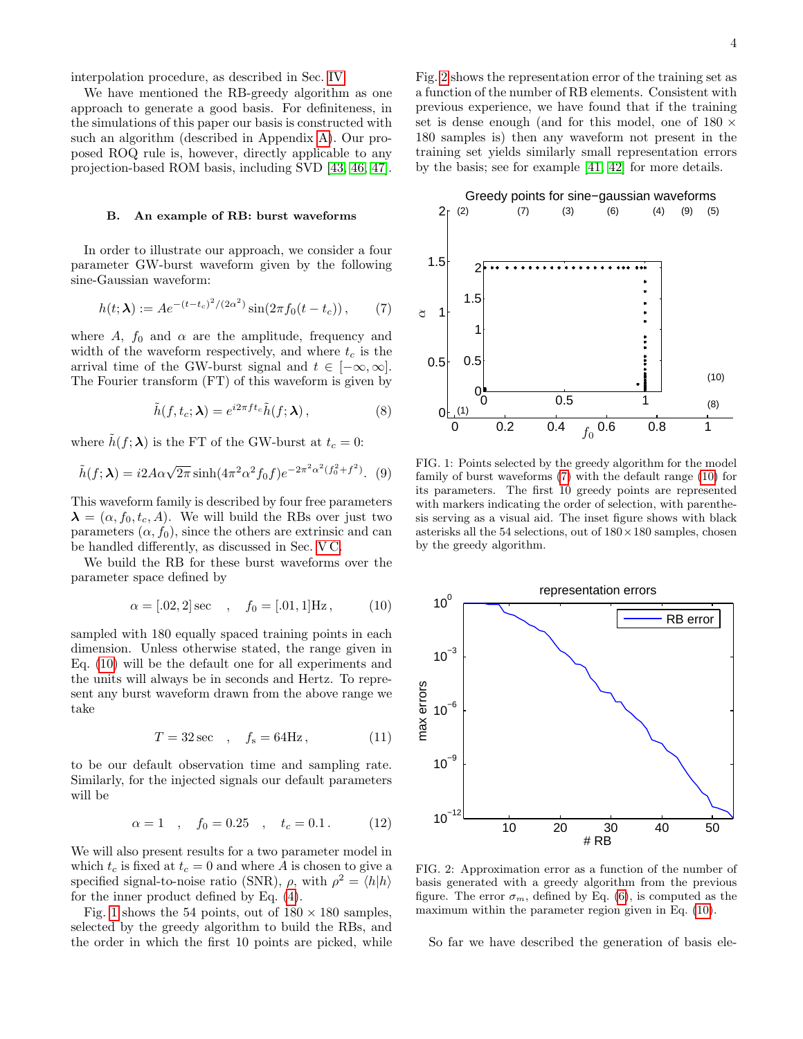interpolation procedure, as described in Sec. [IV.](#page-4-0)

We have mentioned the RB-greedy algorithm as one approach to generate a good basis. For definiteness, in the simulations of this paper our basis is constructed with such an algorithm (described in Appendix [A\)](#page-14-0). Our proposed ROQ rule is, however, directly applicable to any projection-based ROM basis, including SVD [\[43,](#page-16-24) [46,](#page-16-28) [47\]](#page-16-29).

# <span id="page-3-5"></span>B. An example of RB: burst waveforms

In order to illustrate our approach, we consider a four parameter GW-burst waveform given by the following sine-Gaussian waveform:

<span id="page-3-0"></span>
$$
h(t; \lambda) := A e^{-(t - t_c)^2 / (2\alpha^2)} \sin(2\pi f_0(t - t_c)), \qquad (7)
$$

where A,  $f_0$  and  $\alpha$  are the amplitude, frequency and width of the waveform respectively, and where  $t_c$  is the arrival time of the GW-burst signal and  $t \in [-\infty, \infty]$ . The Fourier transform (FT) of this waveform is given by

$$
\tilde{h}(f, t_c; \lambda) = e^{i2\pi f t_c} \tilde{h}(f; \lambda), \qquad (8)
$$

where  $\tilde{h}(f; \lambda)$  is the FT of the GW-burst at  $t_c = 0$ :

$$
\tilde{h}(f; \lambda) = i2A\alpha\sqrt{2\pi} \sinh(4\pi^2 \alpha^2 f_0 f) e^{-2\pi^2 \alpha^2 (f_0^2 + f^2)}.
$$
 (9)

This waveform family is described by four free parameters  $\lambda = (\alpha, f_0, t_c, A)$ . We will build the RBs over just two parameters  $(\alpha, f_0)$ , since the others are extrinsic and can be handled differently, as discussed in Sec. [V C.](#page-7-0)

We build the RB for these burst waveforms over the parameter space defined by

<span id="page-3-2"></span>
$$
\alpha = [.02, 2] \sec \quad , \quad f_0 = [.01, 1] \text{Hz} , \tag{10}
$$

sampled with 180 equally spaced training points in each dimension. Unless otherwise stated, the range given in Eq. [\(10\)](#page-3-2) will be the default one for all experiments and the units will always be in seconds and Hertz. To represent any burst waveform drawn from the above range we take

$$
T = 32 \sec \quad , \quad f_s = 64 \text{Hz} \,, \tag{11}
$$

to be our default observation time and sampling rate. Similarly, for the injected signals our default parameters will be

<span id="page-3-6"></span>
$$
\alpha = 1
$$
,  $f_0 = 0.25$ ,  $t_c = 0.1$ . (12)

We will also present results for a two parameter model in which  $t_c$  is fixed at  $t_c = 0$  and where A is chosen to give a specified signal-to-noise ratio (SNR),  $\rho$ , with  $\rho^2 = \langle h|h \rangle$ for the inner product defined by Eq. [\(4\)](#page-1-1).

Fig. [1](#page-3-3) shows the 54 points, out of  $180 \times 180$  samples, selected by the greedy algorithm to build the RBs, and the order in which the first 10 points are picked, while Fig. [2](#page-3-1) shows the representation error of the training set as a function of the number of RB elements. Consistent with previous experience, we have found that if the training set is dense enough (and for this model, one of  $180 \times$ 180 samples is) then any waveform not present in the training set yields similarly small representation errors by the basis; see for example [\[41,](#page-16-30) [42\]](#page-16-27) for more details.



<span id="page-3-7"></span><span id="page-3-4"></span><span id="page-3-3"></span>FIG. 1: Points selected by the greedy algorithm for the model family of burst waveforms [\(7\)](#page-3-0) with the default range [\(10\)](#page-3-2) for its parameters. The first 10 greedy points are represented with markers indicating the order of selection, with parenthesis serving as a visual aid. The inset figure shows with black asterisks all the 54 selections, out of  $180 \times 180$  samples, chosen by the greedy algorithm.



<span id="page-3-1"></span>FIG. 2: Approximation error as a function of the number of basis generated with a greedy algorithm from the previous figure. The error  $\sigma_m$ , defined by Eq. [\(6\)](#page-2-2), is computed as the maximum within the parameter region given in Eq. [\(10\)](#page-3-2).

So far we have described the generation of basis ele-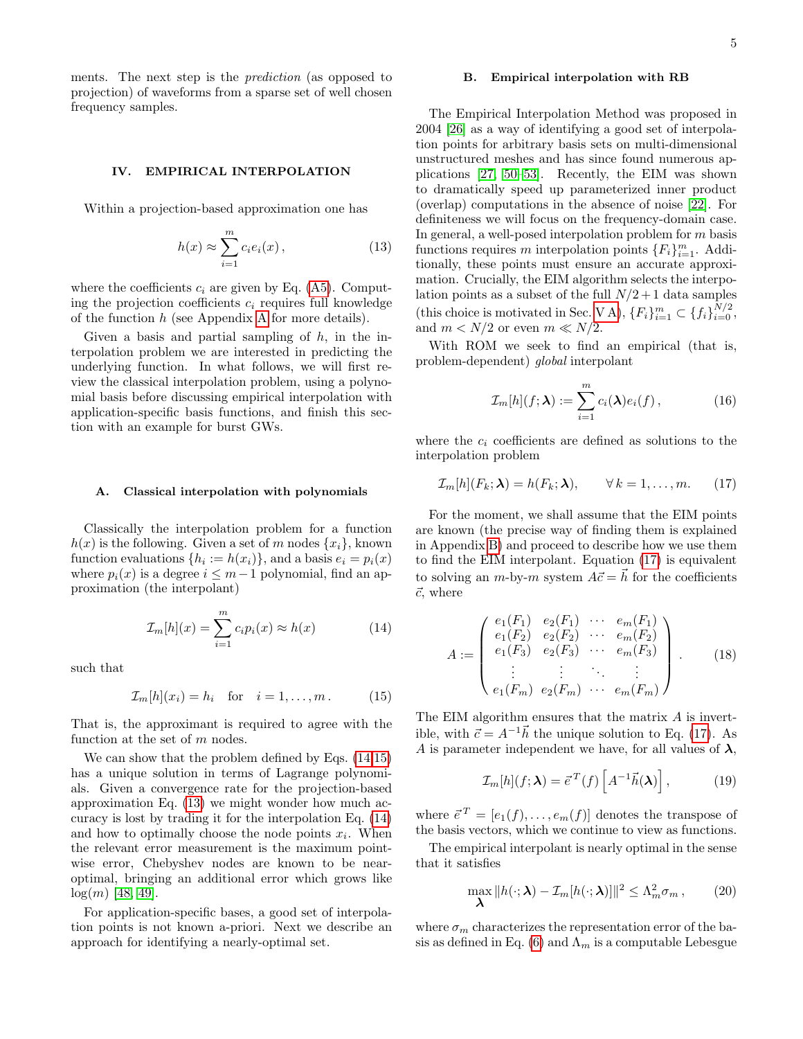ments. The next step is the prediction (as opposed to projection) of waveforms from a sparse set of well chosen frequency samples.

# <span id="page-4-0"></span>IV. EMPIRICAL INTERPOLATION

Within a projection-based approximation one has

$$
h(x) \approx \sum_{i=1}^{m} c_i e_i(x) , \qquad (13)
$$

where the coefficients  $c_i$  are given by Eq. [\(A5\)](#page-14-1). Computing the projection coefficients  $c_i$  requires full knowledge of the function  $h$  (see [A](#page-14-0)ppendix A for more details).

Given a basis and partial sampling of  $h$ , in the interpolation problem we are interested in predicting the underlying function. In what follows, we will first review the classical interpolation problem, using a polynomial basis before discussing empirical interpolation with application-specific basis functions, and finish this section with an example for burst GWs.

### <span id="page-4-8"></span>A. Classical interpolation with polynomials

Classically the interpolation problem for a function  $h(x)$  is the following. Given a set of m nodes  $\{x_i\}$ , known function evaluations  $\{h_i := h(x_i)\}\$ , and a basis  $e_i = p_i(x)$ where  $p_i(x)$  is a degree  $i \leq m-1$  polynomial, find an approximation (the interpolant)

<span id="page-4-1"></span>
$$
\mathcal{I}_m[h](x) = \sum_{i=1}^m c_i p_i(x) \approx h(x) \tag{14}
$$

such that

<span id="page-4-2"></span>
$$
\mathcal{I}_m[h](x_i) = h_i \quad \text{for} \quad i = 1, \dots, m. \tag{15}
$$

That is, the approximant is required to agree with the function at the set of m nodes.

We can show that the problem defined by Eqs. [\(14](#page-4-1)[,15\)](#page-4-2) has a unique solution in terms of Lagrange polynomials. Given a convergence rate for the projection-based approximation Eq. [\(13\)](#page-4-3) we might wonder how much accuracy is lost by trading it for the interpolation Eq. [\(14\)](#page-4-1) and how to optimally choose the node points  $x_i$ . When the relevant error measurement is the maximum pointwise error, Chebyshev nodes are known to be nearoptimal, bringing an additional error which grows like  $log(m)$  [\[48,](#page-16-31) [49\]](#page-16-32).

For application-specific bases, a good set of interpolation points is not known a-priori. Next we describe an approach for identifying a nearly-optimal set.

### B. Empirical interpolation with RB

<span id="page-4-3"></span>The Empirical Interpolation Method was proposed in 2004 [\[26\]](#page-16-15) as a way of identifying a good set of interpolation points for arbitrary basis sets on multi-dimensional unstructured meshes and has since found numerous applications [\[27,](#page-16-16) [50](#page-16-33)[–53\]](#page-16-34). Recently, the EIM was shown to dramatically speed up parameterized inner product (overlap) computations in the absence of noise [\[22\]](#page-16-11). For definiteness we will focus on the frequency-domain case. In general, a well-posed interpolation problem for m basis functions requires m interpolation points  ${F_i}_{i=1}^m$ . Additionally, these points must ensure an accurate approximation. Crucially, the EIM algorithm selects the interpolation points as a subset of the full  $N/2 + 1$  data samples (this choice is motivated in Sec. [V A\)](#page-6-0),  $\{F_i\}_{i=1}^m \subset \{f_i\}_{i=0}^{N/2}$ , and  $m < N/2$  or even  $m \ll N/2$ .

With ROM we seek to find an empirical (that is, problem-dependent) global interpolant

<span id="page-4-6"></span><span id="page-4-4"></span>
$$
\mathcal{I}_m[h](f; \lambda) := \sum_{i=1}^m c_i(\lambda) e_i(f) , \qquad (16)
$$

where the  $c_i$  coefficients are defined as solutions to the interpolation problem

$$
\mathcal{I}_m[h](F_k; \lambda) = h(F_k; \lambda), \qquad \forall \, k = 1, \dots, m. \tag{17}
$$

For the moment, we shall assume that the EIM points are known (the precise way of finding them is explained in Appendix [B\)](#page-15-0) and proceed to describe how we use them to find the EIM interpolant. Equation [\(17\)](#page-4-4) is equivalent to solving an m-by-m system  $A\vec{c} = \vec{h}$  for the coefficients  $\vec{c}$ , where

<span id="page-4-9"></span>
$$
A := \begin{pmatrix} e_1(F_1) & e_2(F_1) & \cdots & e_m(F_1) \\ e_1(F_2) & e_2(F_2) & \cdots & e_m(F_2) \\ e_1(F_3) & e_2(F_3) & \cdots & e_m(F_3) \\ \vdots & \vdots & \ddots & \vdots \\ e_1(F_m) & e_2(F_m) & \cdots & e_m(F_m) \end{pmatrix} .
$$
 (18)

The EIM algorithm ensures that the matrix A is invertible, with  $\vec{c} = A^{-1}\vec{h}$  the unique solution to Eq. [\(17\)](#page-4-4). As A is parameter independent we have, for all values of  $\lambda$ ,

<span id="page-4-7"></span>
$$
\mathcal{I}_m[h](f; \lambda) = \vec{e}^T(f) \left[ A^{-1} \vec{h}(\lambda) \right], \tag{19}
$$

where  $\vec{e}^T = [e_1(f), \ldots, e_m(f)]$  denotes the transpose of the basis vectors, which we continue to view as functions.

The empirical interpolant is nearly optimal in the sense that it satisfies

<span id="page-4-5"></span>
$$
\max_{\lambda} \|h(\cdot;\lambda) - \mathcal{I}_m[h(\cdot;\lambda)]\|^2 \leq \Lambda_m^2 \sigma_m ,\qquad(20)
$$

where  $\sigma_m$  characterizes the representation error of the ba-sis as defined in Eq. [\(6\)](#page-2-2) and  $\Lambda_m$  is a computable Lebesgue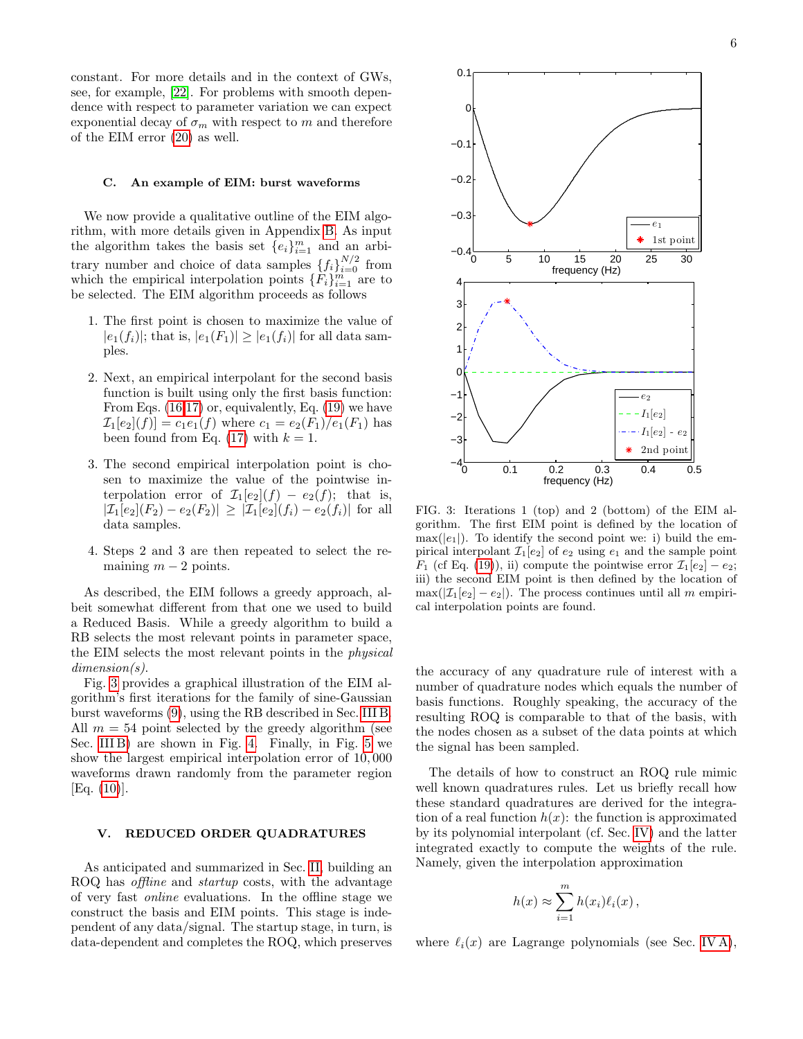constant. For more details and in the context of GWs, see, for example, [\[22\]](#page-16-11). For problems with smooth dependence with respect to parameter variation we can expect exponential decay of  $\sigma_m$  with respect to m and therefore of the EIM error [\(20\)](#page-4-5) as well.

### C. An example of EIM: burst waveforms

We now provide a qualitative outline of the EIM algorithm, with more details given in Appendix [B.](#page-15-0) As input the algorithm takes the basis set  $\{e_i\}_{i=1}^m$  and an arbitrary number and choice of data samples  $\{f_i\}_{i=0}^{N/2}$  from which the empirical interpolation points  $\{F_i\}_{i=1}^m$  are to be selected. The EIM algorithm proceeds as follows

- 1. The first point is chosen to maximize the value of  $|e_1(f_i)|$ ; that is,  $|e_1(F_1)| \geq |e_1(f_i)|$  for all data samples.
- 2. Next, an empirical interpolant for the second basis function is built using only the first basis function: From Eqs. [\(16,](#page-4-6)[17\)](#page-4-4) or, equivalently, Eq. [\(19\)](#page-4-7) we have  $\mathcal{I}_1[e_2](f) = c_1e_1(f)$  where  $c_1 = e_2(F_1)/e_1(F_1)$  has been found from Eq. [\(17\)](#page-4-4) with  $k = 1$ .
- 3. The second empirical interpolation point is chosen to maximize the value of the pointwise interpolation error of  $\mathcal{I}_1[e_2](f) - e_2(f)$ ; that is,  $|\mathcal{I}_1[e_2](F_2) - e_2(F_2)| \geq |\mathcal{I}_1[e_2](f_i) - e_2(f_i)|$  for all data samples.
- 4. Steps 2 and 3 are then repeated to select the remaining  $m - 2$  points.

As described, the EIM follows a greedy approach, albeit somewhat different from that one we used to build a Reduced Basis. While a greedy algorithm to build a RB selects the most relevant points in parameter space, the EIM selects the most relevant points in the physical dimension(s).

Fig. [3](#page-5-1) provides a graphical illustration of the EIM algorithm's first iterations for the family of sine-Gaussian burst waveforms [\(9\)](#page-3-4), using the RB described in Sec. [III B.](#page-3-5) All  $m = 54$  point selected by the greedy algorithm (see Sec. [III B\)](#page-3-5) are shown in Fig. [4.](#page-6-1) Finally, in Fig. [5](#page-6-2) we show the largest empirical interpolation error of 10, 000 waveforms drawn randomly from the parameter region [Eq. [\(10\)](#page-3-2)].

### <span id="page-5-0"></span>V. REDUCED ORDER QUADRATURES

As anticipated and summarized in Sec. [II,](#page-1-0) building an ROQ has offline and startup costs, with the advantage of very fast online evaluations. In the offline stage we construct the basis and EIM points. This stage is independent of any data/signal. The startup stage, in turn, is data-dependent and completes the ROQ, which preserves



<span id="page-5-1"></span>FIG. 3: Iterations 1 (top) and 2 (bottom) of the EIM algorithm. The first EIM point is defined by the location of  $max(|e_1|)$ . To identify the second point we: i) build the empirical interpolant  $\mathcal{I}_1[e_2]$  of  $e_2$  using  $e_1$  and the sample point  $F_1$  (cf Eq. [\(19\)](#page-4-7)), ii) compute the pointwise error  $\mathcal{I}_1[e_2] - e_2$ ; iii) the second EIM point is then defined by the location of  $\max(|\mathcal{I}_1[e_2] - e_2|)$ . The process continues until all m empirical interpolation points are found.

the accuracy of any quadrature rule of interest with a number of quadrature nodes which equals the number of basis functions. Roughly speaking, the accuracy of the resulting ROQ is comparable to that of the basis, with the nodes chosen as a subset of the data points at which the signal has been sampled.

The details of how to construct an ROQ rule mimic well known quadratures rules. Let us briefly recall how these standard quadratures are derived for the integration of a real function  $h(x)$ : the function is approximated by its polynomial interpolant (cf. Sec. [IV\)](#page-4-0) and the latter integrated exactly to compute the weights of the rule. Namely, given the interpolation approximation

$$
h(x) \approx \sum_{i=1}^{m} h(x_i) \ell_i(x) ,
$$

where  $\ell_i(x)$  are Lagrange polynomials (see Sec. [IV A\)](#page-4-8),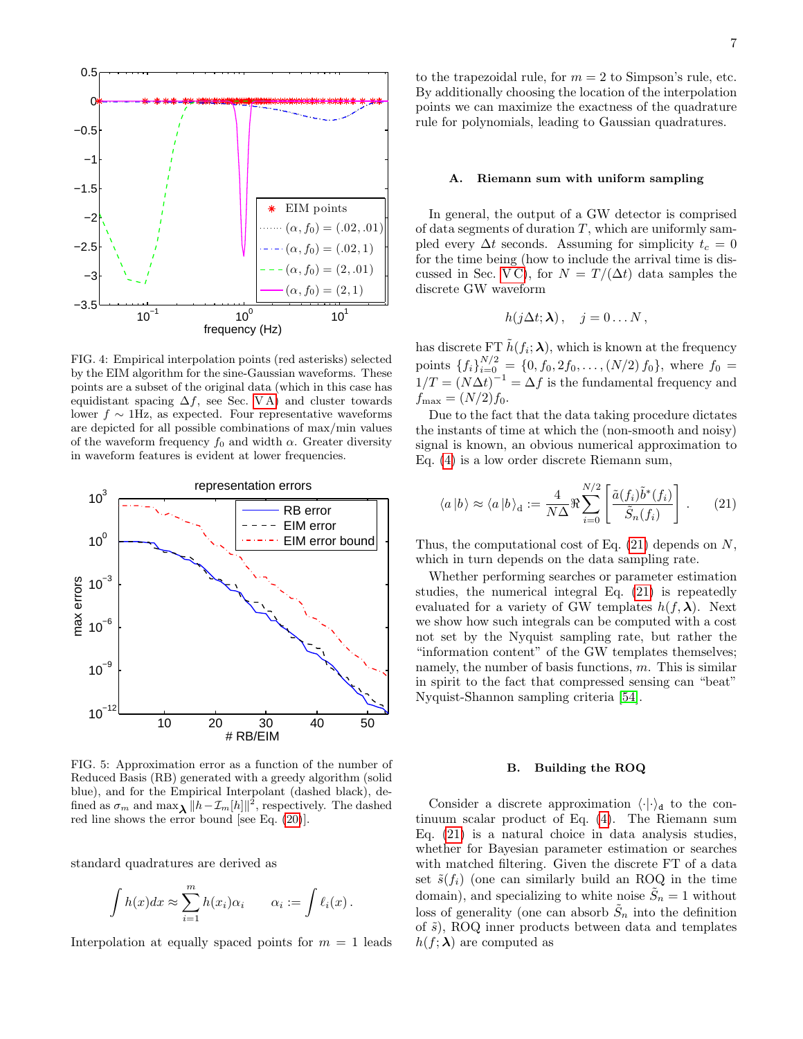

<span id="page-6-1"></span>FIG. 4: Empirical interpolation points (red asterisks) selected by the EIM algorithm for the sine-Gaussian waveforms. These points are a subset of the original data (which in this case has equidistant spacing  $\Delta f$ , see Sec. VA) and cluster towards lower  $f \sim 1$ Hz, as expected. Four representative waveforms are depicted for all possible combinations of max/min values of the waveform frequency  $f_0$  and width  $\alpha$ . Greater diversity in waveform features is evident at lower frequencies.



<span id="page-6-2"></span>FIG. 5: Approximation error as a function of the number of Reduced Basis (RB) generated with a greedy algorithm (solid blue), and for the Empirical Interpolant (dashed black), defined as  $\sigma_m$  and  $\max_{\lambda} ||h - \mathcal{I}_m[h]||^2$ , respectively. The dashed red line shows the error bound [see Eq. [\(20\)](#page-4-5)].

standard quadratures are derived as

$$
\int h(x)dx \approx \sum_{i=1}^m h(x_i)\alpha_i \qquad \alpha_i := \int \ell_i(x) .
$$

Interpolation at equally spaced points for  $m = 1$  leads

to the trapezoidal rule, for  $m = 2$  to Simpson's rule, etc. By additionally choosing the location of the interpolation points we can maximize the exactness of the quadrature rule for polynomials, leading to Gaussian quadratures.

### <span id="page-6-0"></span>A. Riemann sum with uniform sampling

In general, the output of a GW detector is comprised of data segments of duration  $T$ , which are uniformly sampled every  $\Delta t$  seconds. Assuming for simplicity  $t_c = 0$ for the time being (how to include the arrival time is dis-cussed in Sec. [V C\)](#page-7-0), for  $N = T/(\Delta t)$  data samples the discrete GW waveform

$$
h(j\Delta t; \lambda) , \quad j=0 \ldots N\,,
$$

has discrete FT  $\tilde{h}(f_i; \lambda)$ , which is known at the frequency points  $\{f_i\}_{i=0}^{N/2} = \{0, f_0, 2f_0, \ldots, (N/2) f_0\}$ , where  $f_0 =$  $1/T = (N\Delta t)^{-1} = \Delta f$  is the fundamental frequency and  $f_{\text{max}} = (N/2) f_0.$ 

Due to the fact that the data taking procedure dictates the instants of time at which the (non-smooth and noisy) signal is known, an obvious numerical approximation to Eq. [\(4\)](#page-1-1) is a low order discrete Riemann sum,

<span id="page-6-3"></span>
$$
\langle a|b\rangle \approx \langle a|b\rangle_{\rm d} := \frac{4}{N\Delta} \Re \sum_{i=0}^{N/2} \left[ \frac{\tilde{a}(f_i)\tilde{b}^*(f_i)}{\tilde{S}_n(f_i)} \right]. \tag{21}
$$

Thus, the computational cost of Eq.  $(21)$  depends on N, which in turn depends on the data sampling rate.

Whether performing searches or parameter estimation studies, the numerical integral Eq. [\(21\)](#page-6-3) is repeatedly evaluated for a variety of GW templates  $h(f, \lambda)$ . Next we show how such integrals can be computed with a cost not set by the Nyquist sampling rate, but rather the "information content" of the GW templates themselves; namely, the number of basis functions,  $m$ . This is similar in spirit to the fact that compressed sensing can "beat" Nyquist-Shannon sampling criteria [\[54\]](#page-16-35).

### B. Building the ROQ

Consider a discrete approximation  $\langle \cdot | \cdot \rangle_d$  to the continuum scalar product of Eq. [\(4\)](#page-1-1). The Riemann sum Eq. [\(21\)](#page-6-3) is a natural choice in data analysis studies, whether for Bayesian parameter estimation or searches with matched filtering. Given the discrete FT of a data set  $\tilde{s}(f_i)$  (one can similarly build an ROQ in the time domain), and specializing to white noise  $\tilde{S}_n = 1$  without loss of generality (one can absorb  $\tilde{S}_n$  into the definition of  $\tilde{s}$ ), ROQ inner products between data and templates  $h(f; \lambda)$  are computed as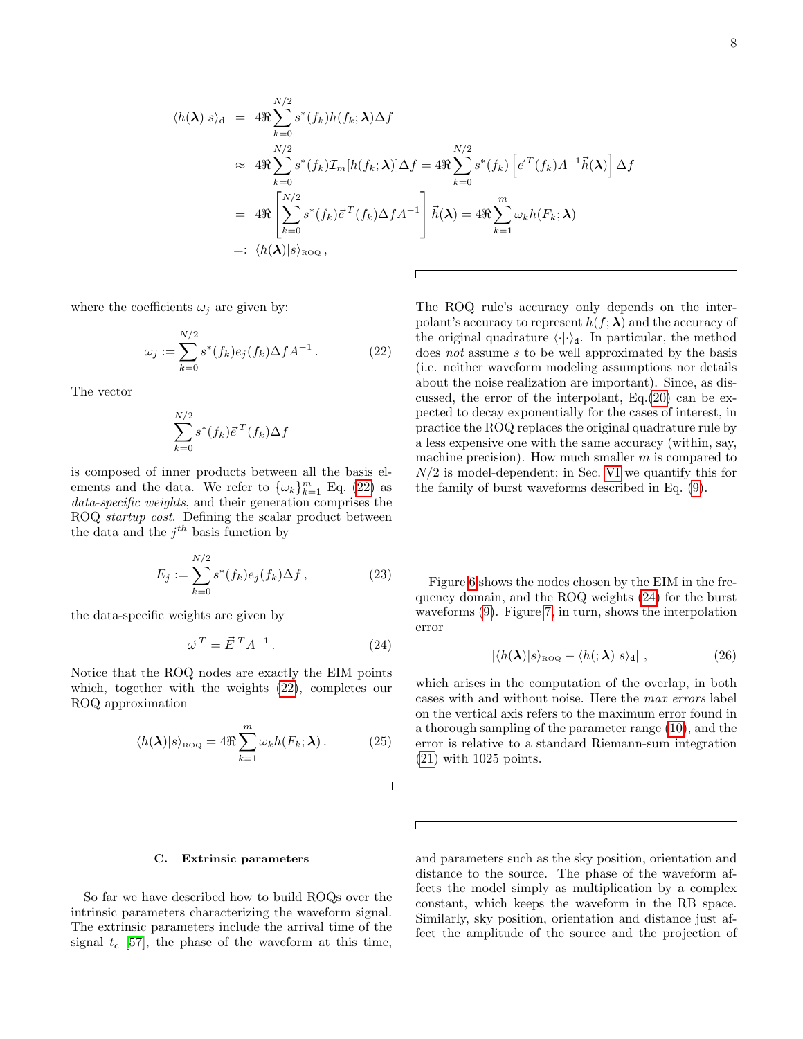<span id="page-7-1"></span>
$$
\langle h(\boldsymbol{\lambda})|s\rangle_{\mathrm{d}} = 4\Re \sum_{k=0}^{N/2} s^*(f_k)h(f_k; \boldsymbol{\lambda})\Delta f
$$
  
\n
$$
\approx 4\Re \sum_{k=0}^{N/2} s^*(f_k) \mathcal{I}_m[h(f_k; \boldsymbol{\lambda})] \Delta f = 4\Re \sum_{k=0}^{N/2} s^*(f_k) \left[ \vec{e}^T(f_k)A^{-1}\vec{h}(\boldsymbol{\lambda}) \right] \Delta f
$$
  
\n
$$
= 4\Re \left[ \sum_{k=0}^{N/2} s^*(f_k) \vec{e}^T(f_k) \Delta f A^{-1} \right] \vec{h}(\boldsymbol{\lambda}) = 4\Re \sum_{k=1}^m \omega_k h(F_k; \boldsymbol{\lambda})
$$
  
\n
$$
=:\langle h(\boldsymbol{\lambda})|s\rangle_{\text{ROQ}},
$$

where the coefficients  $\omega_i$  are given by:

$$
\omega_j := \sum_{k=0}^{N/2} s^*(f_k) e_j(f_k) \Delta f A^{-1} . \tag{22}
$$

The vector

$$
\sum_{k=0}^{N/2} s^*(f_k) \vec{e}^T(f_k) \Delta f
$$

is composed of inner products between all the basis elements and the data. We refer to  $\{\omega_k\}_{k=1}^m$  Eq. [\(22\)](#page-7-1) as data-specific weights, and their generation comprises the ROQ startup cost. Defining the scalar product between the data and the  $j<sup>th</sup>$  basis function by

$$
E_j := \sum_{k=0}^{N/2} s^*(f_k) e_j(f_k) \Delta f, \qquad (23)
$$

the data-specific weights are given by

$$
\vec{\omega}^T = \vec{E}^T A^{-1}.
$$
 (24)

Notice that the ROQ nodes are exactly the EIM points which, together with the weights  $(22)$ , completes our ROQ approximation

$$
\langle h(\boldsymbol{\lambda})|s\rangle_{\text{ROQ}} = 4\Re \sum_{k=1}^{m} \omega_k h(F_k; \boldsymbol{\lambda}). \tag{25}
$$

The ROQ rule's accuracy only depends on the interpolant's accuracy to represent  $h(f; \lambda)$  and the accuracy of the original quadrature  $\langle \cdot | \cdot \rangle_d$ . In particular, the method does not assume s to be well approximated by the basis (i.e. neither waveform modeling assumptions nor details about the noise realization are important). Since, as discussed, the error of the interpolant, Eq.[\(20\)](#page-4-5) can be expected to decay exponentially for the cases of interest, in practice the ROQ replaces the original quadrature rule by a less expensive one with the same accuracy (within, say, machine precision). How much smaller  $m$  is compared to  $N/2$  is model-dependent; in Sec. [VI](#page-10-0) we quantify this for the family of burst waveforms described in Eq. [\(9\)](#page-3-4).

<span id="page-7-5"></span>Figure [6](#page-8-0) shows the nodes chosen by the EIM in the frequency domain, and the ROQ weights [\(24\)](#page-7-2) for the burst waveforms [\(9\)](#page-3-4). Figure [7,](#page-9-0) in turn, shows the interpolation error

<span id="page-7-3"></span>
$$
|\langle h(\boldsymbol{\lambda})|s\rangle_{\text{ROQ}} - \langle h(;\boldsymbol{\lambda})|s\rangle_{\text{d}}| \,, \tag{26}
$$

<span id="page-7-4"></span><span id="page-7-2"></span>which arises in the computation of the overlap, in both cases with and without noise. Here the max errors label on the vertical axis refers to the maximum error found in a thorough sampling of the parameter range [\(10\)](#page-3-2), and the error is relative to a standard Riemann-sum integration [\(21\)](#page-6-3) with 1025 points.

### <span id="page-7-0"></span>C. Extrinsic parameters

So far we have described how to build ROQs over the intrinsic parameters characterizing the waveform signal. The extrinsic parameters include the arrival time of the signal  $t_c$  [\[57\]](#page-17-0), the phase of the waveform at this time,

and parameters such as the sky position, orientation and distance to the source. The phase of the waveform affects the model simply as multiplication by a complex constant, which keeps the waveform in the RB space. Similarly, sky position, orientation and distance just affect the amplitude of the source and the projection of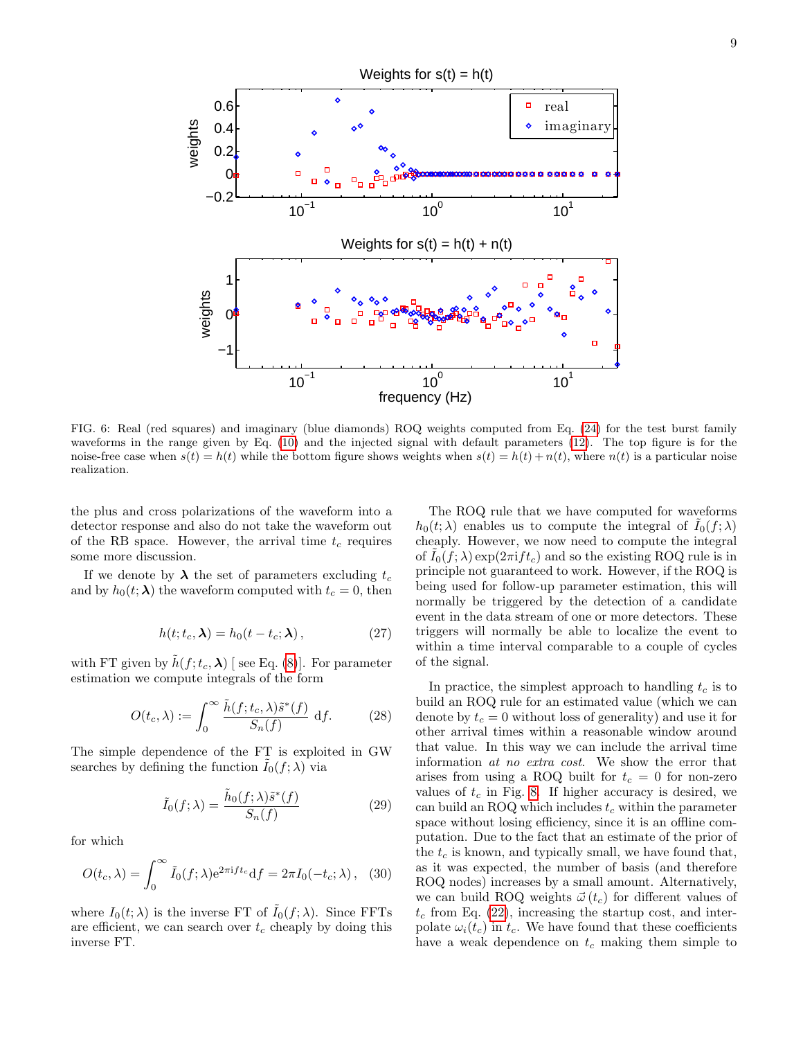

<span id="page-8-0"></span>FIG. 6: Real (red squares) and imaginary (blue diamonds) ROQ weights computed from Eq. [\(24\)](#page-7-2) for the test burst family waveforms in the range given by Eq. [\(10\)](#page-3-2) and the injected signal with default parameters [\(12\)](#page-3-6). The top figure is for the noise-free case when  $s(t) = h(t)$  while the bottom figure shows weights when  $s(t) = h(t) + n(t)$ , where  $n(t)$  is a particular noise realization.

the plus and cross polarizations of the waveform into a detector response and also do not take the waveform out of the RB space. However, the arrival time  $t_c$  requires some more discussion.

If we denote by  $\lambda$  the set of parameters excluding  $t_c$ and by  $h_0(t; \lambda)$  the waveform computed with  $t_c = 0$ , then

$$
h(t; t_c, \lambda) = h_0(t - t_c; \lambda), \qquad (27)
$$

with FT given by  $\tilde{h}(f; t_c, \lambda)$  [see Eq. [\(8\)](#page-3-7)]. For parameter estimation we compute integrals of the form

$$
O(t_c, \lambda) := \int_0^\infty \frac{\tilde{h}(f; t_c, \lambda)\tilde{s}^*(f)}{S_n(f)} \, df. \tag{28}
$$

The simple dependence of the FT is exploited in GW searches by defining the function  $I_0(f; \lambda)$  via

$$
\tilde{I}_0(f; \lambda) = \frac{\tilde{h}_0(f; \lambda)\tilde{s}^*(f)}{S_n(f)}
$$
\n(29)

for which

$$
O(t_c, \lambda) = \int_0^\infty \tilde{I}_0(f; \lambda) e^{2\pi i f t_c} df = 2\pi I_0(-t_c; \lambda), \quad (30)
$$

where  $I_0(t; \lambda)$  is the inverse FT of  $\tilde{I}_0(f; \lambda)$ . Since FFTs are efficient, we can search over  $t_c$  cheaply by doing this inverse FT.

The ROQ rule that we have computed for waveforms  $h_0(t; \lambda)$  enables us to compute the integral of  $I_0(f; \lambda)$ cheaply. However, we now need to compute the integral of  $I_0(f; \lambda) \exp(2\pi i f t_c)$  and so the existing ROQ rule is in principle not guaranteed to work. However, if the ROQ is being used for follow-up parameter estimation, this will normally be triggered by the detection of a candidate event in the data stream of one or more detectors. These triggers will normally be able to localize the event to within a time interval comparable to a couple of cycles of the signal.

In practice, the simplest approach to handling  $t_c$  is to build an ROQ rule for an estimated value (which we can denote by  $t_c = 0$  without loss of generality) and use it for other arrival times within a reasonable window around that value. In this way we can include the arrival time information at no extra cost. We show the error that arises from using a ROQ built for  $t_c = 0$  for non-zero values of  $t_c$  in Fig. [8.](#page-9-1) If higher accuracy is desired, we can build an ROQ which includes  $t_c$  within the parameter space without losing efficiency, since it is an offline computation. Due to the fact that an estimate of the prior of the  $t_c$  is known, and typically small, we have found that, as it was expected, the number of basis (and therefore ROQ nodes) increases by a small amount. Alternatively, we can build ROQ weights  $\vec{\omega}(t_c)$  for different values of  $t_c$  from Eq. [\(22\)](#page-7-1), increasing the startup cost, and interpolate  $\omega_i(t_c)$  in  $t_c$ . We have found that these coefficients have a weak dependence on  $t_c$  making them simple to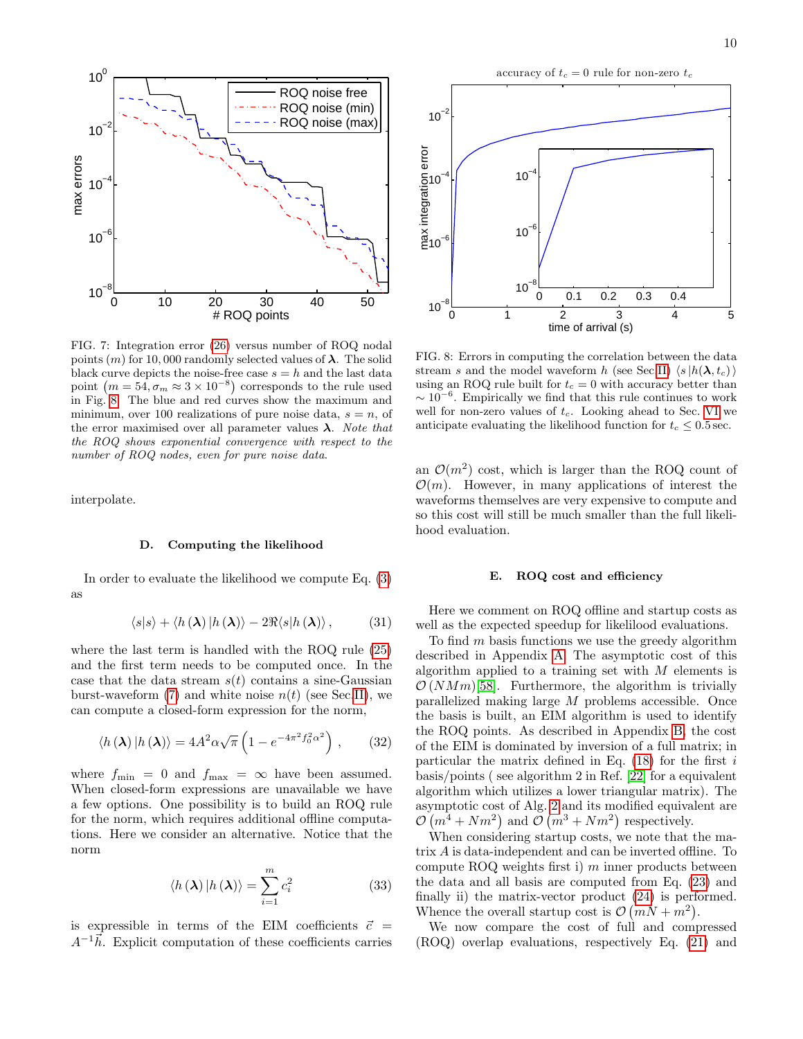

<span id="page-9-0"></span>FIG. 7: Integration error [\(26\)](#page-7-3) versus number of ROQ nodal points  $(m)$  for 10,000 randomly selected values of  $\lambda$ . The solid black curve depicts the noise-free case  $s = h$  and the last data point  $(m = 54, \sigma_m \approx 3 \times 10^{-8})$  corresponds to the rule used in Fig. [8.](#page-9-1) The blue and red curves show the maximum and minimum, over 100 realizations of pure noise data,  $s = n$ , of the error maximised over all parameter values  $\lambda$ . Note that the ROQ shows exponential convergence with respect to the number of ROQ nodes, even for pure noise data.

interpolate.

### D. Computing the likelihood

In order to evaluate the likelihood we compute Eq. [\(3\)](#page-1-2) as

$$
\langle s|s\rangle + \langle h(\lambda)|h(\lambda)\rangle - 2\Re\langle s|h(\lambda)\rangle, \qquad (31)
$$

where the last term is handled with the ROQ rule [\(25\)](#page-7-4) and the first term needs to be computed once. In the case that the data stream  $s(t)$  contains a sine-Gaussian burst-waveform [\(7\)](#page-3-0) and white noise  $n(t)$  (see Sec[.II\)](#page-1-0), we can compute a closed-form expression for the norm,

$$
\langle h(\lambda) | h(\lambda) \rangle = 4A^2 \alpha \sqrt{\pi} \left( 1 - e^{-4\pi^2 f_0^2 \alpha^2} \right), \quad (32)
$$

where  $f_{\min} = 0$  and  $f_{\max} = \infty$  have been assumed. When closed-form expressions are unavailable we have a few options. One possibility is to build an ROQ rule for the norm, which requires additional offline computations. Here we consider an alternative. Notice that the norm

$$
\langle h(\lambda) | h(\lambda) \rangle = \sum_{i=1}^{m} c_i^2 \tag{33}
$$

is expressible in terms of the EIM coefficients  $\vec{c}$  =  $A^{-1}\vec{h}$ . Explicit computation of these coefficients carries

accuracy of  $t_c = 0$  rule for non-zero  $t_c$ 



<span id="page-9-1"></span>FIG. 8: Errors in computing the correlation between the data stream s and the model waveform h (see Sec[.II\)](#page-1-0)  $\langle s|h(\lambda, t_c)\rangle$ using an ROQ rule built for  $t_c = 0$  with accuracy better than  $\sim 10^{-6}$ . Empirically we find that this rule continues to work well for non-zero values of  $t_c$ . Looking ahead to Sec. [VI](#page-10-0) we anticipate evaluating the likelihood function for  $t_c \leq 0.5$  sec.

an  $\mathcal{O}(m^2)$  cost, which is larger than the ROQ count of  $\mathcal{O}(m)$ . However, in many applications of interest the waveforms themselves are very expensive to compute and so this cost will still be much smaller than the full likelihood evaluation.

### <span id="page-9-2"></span>E. ROQ cost and efficiency

Here we comment on ROQ offline and startup costs as well as the expected speedup for likelilood evaluations.

To find  $m$  basis functions we use the greedy algorithm described in Appendix [A.](#page-14-0) The asymptotic cost of this algorithm applied to a training set with  $M$  elements is  $\mathcal{O}(NMm)[58]$  $\mathcal{O}(NMm)[58]$ . Furthermore, the algorithm is trivially parallelized making large M problems accessible. Once the basis is built, an EIM algorithm is used to identify the ROQ points. As described in Appendix [B,](#page-15-0) the cost of the EIM is dominated by inversion of a full matrix; in particular the matrix defined in Eq.  $(18)$  for the first i basis/points ( see algorithm 2 in Ref. [\[22\]](#page-16-11) for a equivalent algorithm which utilizes a lower triangular matrix). The asymptotic cost of Alg. [2](#page-15-1) and its modified equivalent are  $\mathcal{O}(m^4 + Nm^2)$  and  $\mathcal{O}(m^3 + Nm^2)$  respectively.

When considering startup costs, we note that the matrix A is data-independent and can be inverted offline. To compute ROQ weights first i)  $m$  inner products between the data and all basis are computed from Eq. [\(23\)](#page-7-5) and finally ii) the matrix-vector product [\(24\)](#page-7-2) is performed. Whence the overall startup cost is  $\mathcal{O}(mN + m^2)$ .

We now compare the cost of full and compressed (ROQ) overlap evaluations, respectively Eq. [\(21\)](#page-6-3) and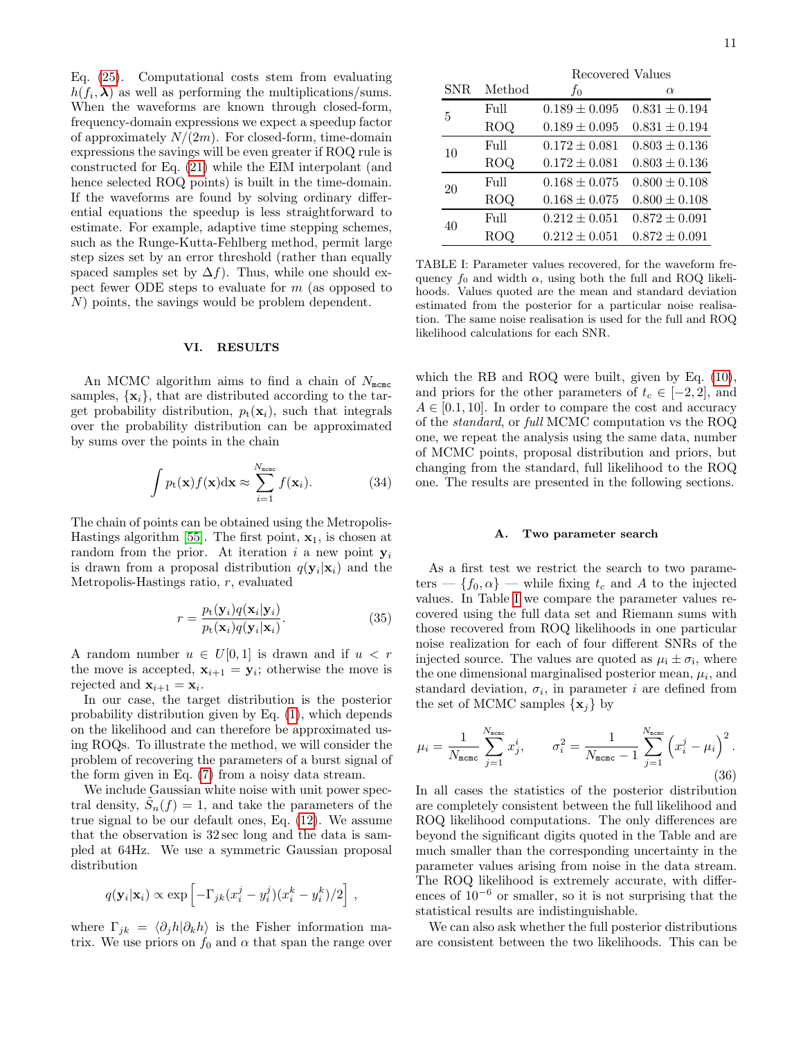Eq. [\(25\)](#page-7-4). Computational costs stem from evaluating  $h(f_i, \lambda)$  as well as performing the multiplications/sums. When the waveforms are known through closed-form, frequency-domain expressions we expect a speedup factor of approximately  $N/(2m)$ . For closed-form, time-domain expressions the savings will be even greater if ROQ rule is constructed for Eq. [\(21\)](#page-6-3) while the EIM interpolant (and hence selected ROQ points) is built in the time-domain. If the waveforms are found by solving ordinary differential equations the speedup is less straightforward to estimate. For example, adaptive time stepping schemes, such as the Runge-Kutta-Fehlberg method, permit large step sizes set by an error threshold (rather than equally spaced samples set by  $\Delta f$ ). Thus, while one should expect fewer ODE steps to evaluate for  $m$  (as opposed to N) points, the savings would be problem dependent.

## <span id="page-10-0"></span>VI. RESULTS

An MCMC algorithm aims to find a chain of  $N_{\text{mcm}}$ samples,  $\{x_i\}$ , that are distributed according to the target probability distribution,  $p_t(\mathbf{x}_i)$ , such that integrals over the probability distribution can be approximated by sums over the points in the chain

$$
\int p_{\mathbf{t}}(\mathbf{x}) f(\mathbf{x}) d\mathbf{x} \approx \sum_{i=1}^{N_{\text{meas}}} f(\mathbf{x}_i).
$$
 (34)

The chain of points can be obtained using the Metropolis-Hastings algorithm [\[55\]](#page-16-36). The first point,  $x_1$ , is chosen at random from the prior. At iteration  $i$  a new point  $y_i$ is drawn from a proposal distribution  $q(\mathbf{y}_i|\mathbf{x}_i)$  and the Metropolis-Hastings ratio, r, evaluated

$$
r = \frac{p_{\rm t}(\mathbf{y}_i)q(\mathbf{x}_i|\mathbf{y}_i)}{p_{\rm t}(\mathbf{x}_i)q(\mathbf{y}_i|\mathbf{x}_i)}.\tag{35}
$$

A random number  $u \in U[0,1]$  is drawn and if  $u < r$ the move is accepted,  $\mathbf{x}_{i+1} = \mathbf{y}_i$ ; otherwise the move is rejected and  $\mathbf{x}_{i+1} = \mathbf{x}_i$ .

In our case, the target distribution is the posterior probability distribution given by Eq. [\(1\)](#page-1-3), which depends on the likelihood and can therefore be approximated using ROQs. To illustrate the method, we will consider the problem of recovering the parameters of a burst signal of the form given in Eq. [\(7\)](#page-3-0) from a noisy data stream.

We include Gaussian white noise with unit power spectral density,  $\tilde{S}_n(f) = 1$ , and take the parameters of the true signal to be our default ones, Eq. [\(12\)](#page-3-6). We assume that the observation is 32 sec long and the data is sampled at 64Hz. We use a symmetric Gaussian proposal distribution

$$
q(\mathbf{y}_i|\mathbf{x}_i) \propto \exp\left[-\Gamma_{jk}(x_i^j-y_i^j)(x_i^k-y_i^k)/2\right],
$$

where  $\Gamma_{jk} = \langle \partial_j h | \partial_k h \rangle$  is the Fisher information matrix. We use priors on  $f_0$  and  $\alpha$  that span the range over

|     |            | Recovered Values  |                   |  |
|-----|------------|-------------------|-------------------|--|
| SNR | Method     | $f_0$             | $\alpha$          |  |
| 5   | Full       | $0.189 \pm 0.095$ | $0.831 \pm 0.194$ |  |
|     | <b>ROQ</b> | $0.189 \pm 0.095$ | $0.831 \pm 0.194$ |  |
| 10  | Full       | $0.172 \pm 0.081$ | $0.803 \pm 0.136$ |  |
|     | ROQ        | $0.172 \pm 0.081$ | $0.803 \pm 0.136$ |  |
| 20  | Full       | $0.168 \pm 0.075$ | $0.800 \pm 0.108$ |  |
|     | <b>ROQ</b> | $0.168 \pm 0.075$ | $0.800 \pm 0.108$ |  |
| 40  | Full       | $0.212 \pm 0.051$ | $0.872 \pm 0.091$ |  |
|     | ROQ        | $0.212 \pm 0.051$ | $0.872 \pm 0.091$ |  |

<span id="page-10-1"></span>TABLE I: Parameter values recovered, for the waveform frequency  $f_0$  and width  $\alpha$ , using both the full and ROQ likelihoods. Values quoted are the mean and standard deviation estimated from the posterior for a particular noise realisation. The same noise realisation is used for the full and ROQ likelihood calculations for each SNR.

which the RB and ROQ were built, given by Eq. [\(10\)](#page-3-2), and priors for the other parameters of  $t_c \in [-2, 2]$ , and  $A \in [0.1, 10]$ . In order to compare the cost and accuracy of the standard, or full MCMC computation vs the ROQ one, we repeat the analysis using the same data, number of MCMC points, proposal distribution and priors, but changing from the standard, full likelihood to the ROQ one. The results are presented in the following sections.

### A. Two parameter search

As a first test we restrict the search to two parameters — { $f_0, \alpha$ } — while fixing  $t_c$  and A to the injected values. In Table [I](#page-10-1) we compare the parameter values recovered using the full data set and Riemann sums with those recovered from ROQ likelihoods in one particular noise realization for each of four different SNRs of the injected source. The values are quoted as  $\mu_i \pm \sigma_i$ , where the one dimensional marginalised posterior mean,  $\mu_i$ , and standard deviation,  $\sigma_i$ , in parameter *i* are defined from the set of MCMC samples  $\{x_i\}$  by

$$
\mu_{i} = \frac{1}{N_{\text{mcmc}}} \sum_{j=1}^{N_{\text{mcmc}}} x_{j}^{i}, \qquad \sigma_{i}^{2} = \frac{1}{N_{\text{mcmc}} - 1} \sum_{j=1}^{N_{\text{mcmc}}} \left( x_{i}^{j} - \mu_{i} \right)^{2}.
$$
\n(36)

In all cases the statistics of the posterior distribution are completely consistent between the full likelihood and ROQ likelihood computations. The only differences are beyond the significant digits quoted in the Table and are much smaller than the corresponding uncertainty in the parameter values arising from noise in the data stream. The ROQ likelihood is extremely accurate, with differences of 10<sup>−</sup><sup>6</sup> or smaller, so it is not surprising that the statistical results are indistinguishable.

We can also ask whether the full posterior distributions are consistent between the two likelihoods. This can be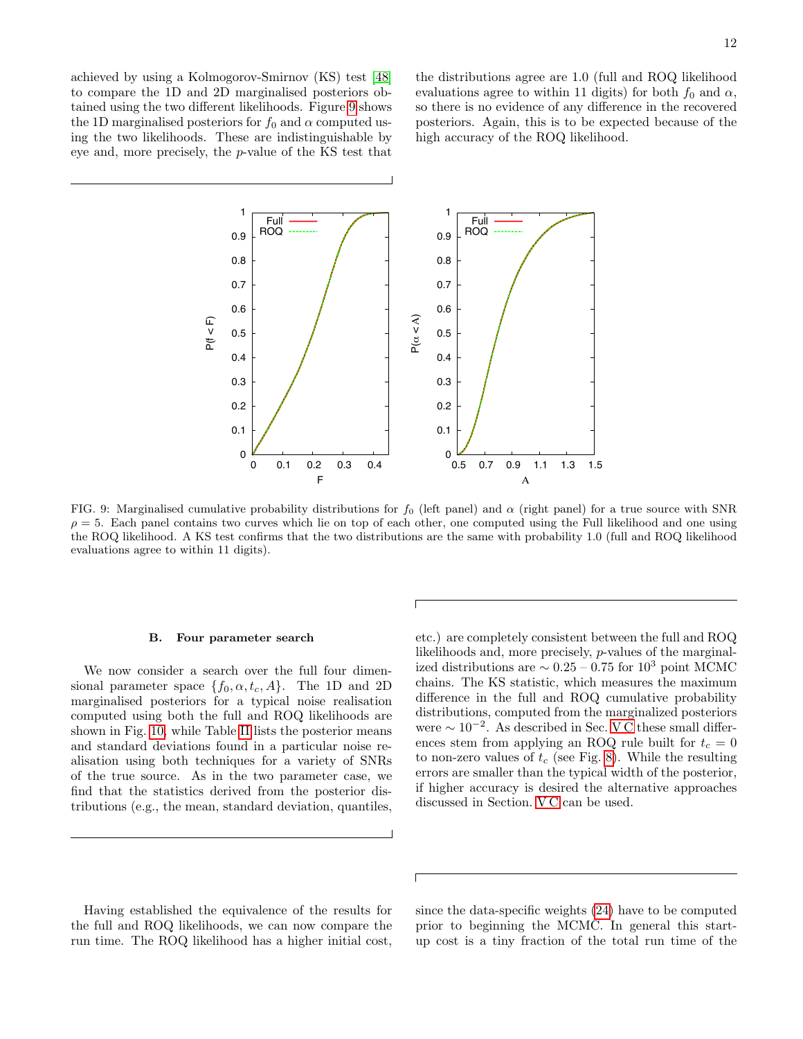achieved by using a Kolmogorov-Smirnov (KS) test [\[48\]](#page-16-31) to compare the 1D and 2D marginalised posteriors obtained using the two different likelihoods. Figure [9](#page-11-0) shows the 1D marginalised posteriors for  $f_0$  and  $\alpha$  computed using the two likelihoods. These are indistinguishable by eye and, more precisely, the p-value of the KS test that

the distributions agree are 1.0 (full and ROQ likelihood evaluations agree to within 11 digits) for both  $f_0$  and  $\alpha$ , so there is no evidence of any difference in the recovered posteriors. Again, this is to be expected because of the high accuracy of the ROQ likelihood.



<span id="page-11-0"></span>FIG. 9: Marginalised cumulative probability distributions for  $f_0$  (left panel) and  $\alpha$  (right panel) for a true source with SNR  $\rho = 5$ . Each panel contains two curves which lie on top of each other, one computed using the Full likelihood and one using the ROQ likelihood. A KS test confirms that the two distributions are the same with probability 1.0 (full and ROQ likelihood evaluations agree to within 11 digits).

### <span id="page-11-1"></span>B. Four parameter search

We now consider a search over the full four dimensional parameter space  $\{f_0, \alpha, t_c, A\}$ . The 1D and 2D marginalised posteriors for a typical noise realisation computed using both the full and ROQ likelihoods are shown in Fig. [10,](#page-12-0) while Table [II](#page-12-1) lists the posterior means and standard deviations found in a particular noise realisation using both techniques for a variety of SNRs of the true source. As in the two parameter case, we find that the statistics derived from the posterior distributions (e.g., the mean, standard deviation, quantiles,

etc.) are completely consistent between the full and ROQ likelihoods and, more precisely, p-values of the marginalized distributions are  $\sim 0.25 - 0.75$  for 10<sup>3</sup> point MCMC chains. The KS statistic, which measures the maximum difference in the full and ROQ cumulative probability distributions, computed from the marginalized posteriors were  $\sim 10^{-2}$ . As described in Sec. [V C](#page-7-0) these small differences stem from applying an ROQ rule built for  $t_c = 0$ to non-zero values of  $t_c$  (see Fig. [8\)](#page-9-1). While the resulting errors are smaller than the typical width of the posterior, if higher accuracy is desired the alternative approaches discussed in Section. [V C](#page-7-0) can be used.

Having established the equivalence of the results for the full and ROQ likelihoods, we can now compare the run time. The ROQ likelihood has a higher initial cost, since the data-specific weights [\(24\)](#page-7-2) have to be computed prior to beginning the MCMC. In general this startup cost is a tiny fraction of the total run time of the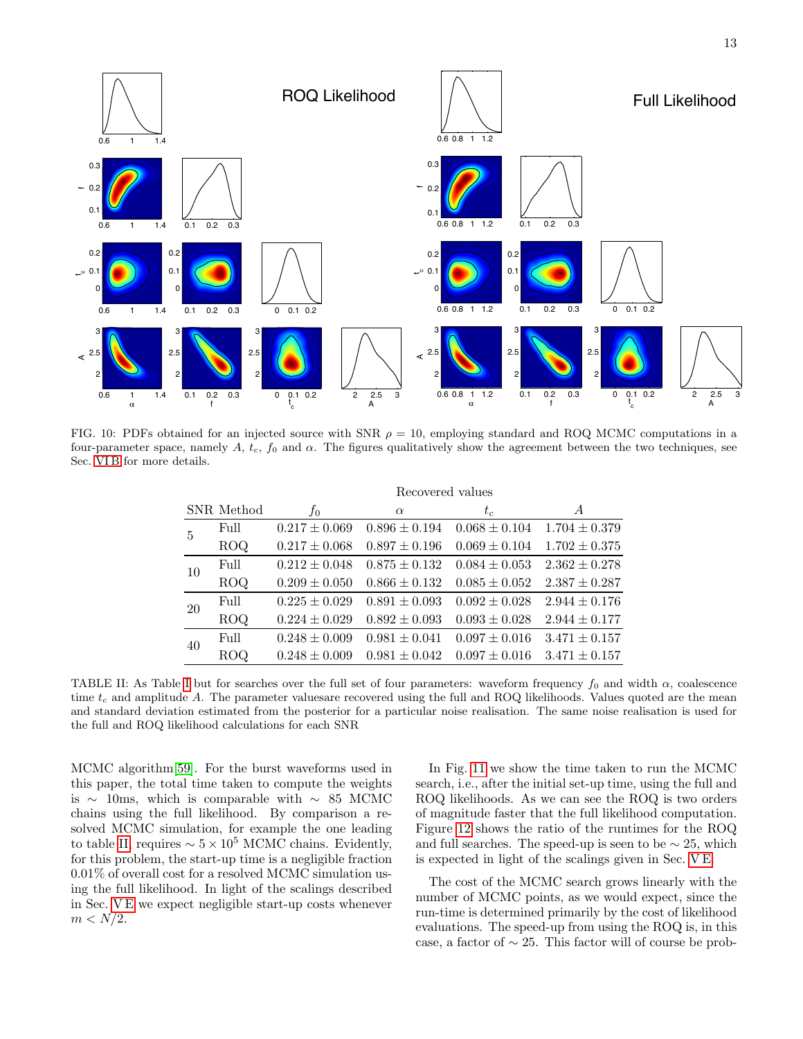

<span id="page-12-0"></span>FIG. 10: PDFs obtained for an injected source with SNR  $\rho = 10$ , employing standard and ROQ MCMC computations in a four-parameter space, namely A,  $t_c$ ,  $f_0$  and  $\alpha$ . The figures qualitatively show the agreement between the two techniques, see Sec. [VI B](#page-11-1) for more details.

|    |            | Recovered values  |                   |                   |                   |  |
|----|------------|-------------------|-------------------|-------------------|-------------------|--|
|    | SNR Method | $f_{0}$           | $\alpha$          | $t_c$             | A                 |  |
| 5  | Full       | $0.217 \pm 0.069$ | $0.896 \pm 0.194$ | $0.068 \pm 0.104$ | $1.704 \pm 0.379$ |  |
|    | ROQ        | $0.217 \pm 0.068$ | $0.897 \pm 0.196$ | $0.069 \pm 0.104$ | $1.702 \pm 0.375$ |  |
| 10 | Full       | $0.212 \pm 0.048$ | $0.875 \pm 0.132$ | $0.084 \pm 0.053$ | $2.362 \pm 0.278$ |  |
|    | <b>ROQ</b> | $0.209 \pm 0.050$ | $0.866 \pm 0.132$ | $0.085 \pm 0.052$ | $2.387 \pm 0.287$ |  |
| 20 | Full       | $0.225 \pm 0.029$ | $0.891 \pm 0.093$ | $0.092 \pm 0.028$ | $2.944 \pm 0.176$ |  |
|    | <b>ROQ</b> | $0.224 \pm 0.029$ | $0.892 \pm 0.093$ | $0.093 \pm 0.028$ | $2.944 \pm 0.177$ |  |
| 40 | Full       | $0.248 \pm 0.009$ | $0.981 \pm 0.041$ | $0.097 \pm 0.016$ | $3.471 \pm 0.157$ |  |
|    | ROQ.       | $0.248 \pm 0.009$ | $0.981 \pm 0.042$ | $0.097 \pm 0.016$ | $3.471 \pm 0.157$ |  |

<span id="page-12-1"></span>TABLE [I](#page-10-1)I: As Table I but for searches over the full set of four parameters: waveform frequency  $f_0$  and width  $\alpha$ , coalescence time  $t_c$  and amplitude A. The parameter values are recovered using the full and ROQ likelihoods. Values quoted are the mean and standard deviation estimated from the posterior for a particular noise realisation. The same noise realisation is used for the full and ROQ likelihood calculations for each SNR

MCMC algorithm[\[59\]](#page-17-2). For the burst waveforms used in this paper, the total time taken to compute the weights is ∼ 10ms, which is comparable with ∼ 85 MCMC chains using the full likelihood. By comparison a resolved MCMC simulation, for example the one leading to table [II,](#page-12-1) requires  $\sim 5 \times 10^5$  MCMC chains. Evidently, for this problem, the start-up time is a negligible fraction 0.01% of overall cost for a resolved MCMC simulation using the full likelihood. In light of the scalings described in Sec. [V E](#page-9-2) we expect negligible start-up costs whenever  $m < N/2$ .

In Fig. [11](#page-13-0) we show the time taken to run the MCMC search, i.e., after the initial set-up time, using the full and ROQ likelihoods. As we can see the ROQ is two orders of magnitude faster that the full likelihood computation. Figure [12](#page-13-1) shows the ratio of the runtimes for the ROQ and full searches. The speed-up is seen to be  $\sim$  25, which is expected in light of the scalings given in Sec. [V E.](#page-9-2)

The cost of the MCMC search grows linearly with the number of MCMC points, as we would expect, since the run-time is determined primarily by the cost of likelihood evaluations. The speed-up from using the ROQ is, in this case, a factor of  $\sim$  25. This factor will of course be prob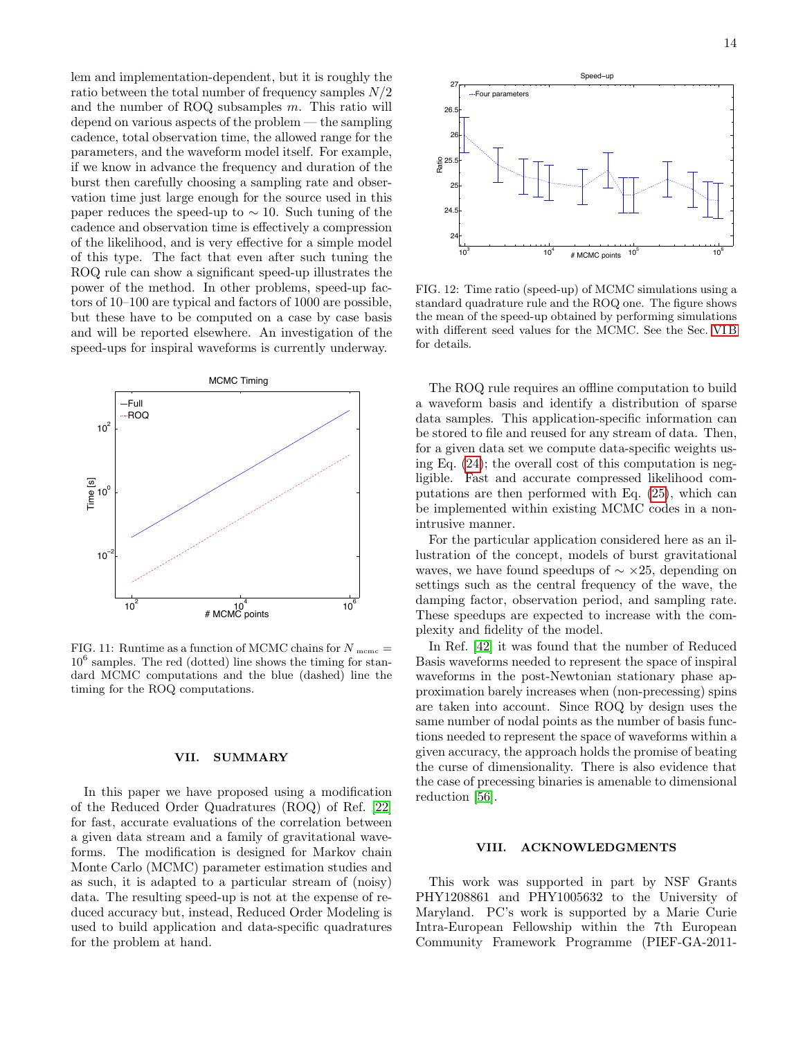lem and implementation-dependent, but it is roughly the ratio between the total number of frequency samples  $N/2$ and the number of ROQ subsamples m. This ratio will depend on various aspects of the problem — the sampling cadence, total observation time, the allowed range for the parameters, and the waveform model itself. For example, if we know in advance the frequency and duration of the burst then carefully choosing a sampling rate and observation time just large enough for the source used in this paper reduces the speed-up to  $\sim$  10. Such tuning of the cadence and observation time is effectively a compression of the likelihood, and is very effective for a simple model of this type. The fact that even after such tuning the ROQ rule can show a significant speed-up illustrates the power of the method. In other problems, speed-up factors of 10–100 are typical and factors of 1000 are possible, but these have to be computed on a case by case basis and will be reported elsewhere. An investigation of the speed-ups for inspiral waveforms is currently underway.



<span id="page-13-0"></span>FIG. 11: Runtime as a function of MCMC chains for  $N_{\text{memc}} =$ 10<sup>6</sup> samples. The red (dotted) line shows the timing for standard MCMC computations and the blue (dashed) line the timing for the ROQ computations.

### VII. SUMMARY

In this paper we have proposed using a modification of the Reduced Order Quadratures (ROQ) of Ref. [\[22\]](#page-16-11) for fast, accurate evaluations of the correlation between a given data stream and a family of gravitational waveforms. The modification is designed for Markov chain Monte Carlo (MCMC) parameter estimation studies and as such, it is adapted to a particular stream of (noisy) data. The resulting speed-up is not at the expense of reduced accuracy but, instead, Reduced Order Modeling is used to build application and data-specific quadratures



<span id="page-13-1"></span>FIG. 12: Time ratio (speed-up) of MCMC simulations using a standard quadrature rule and the ROQ one. The figure shows the mean of the speed-up obtained by performing simulations with different seed values for the MCMC. See the Sec. [VI B](#page-11-1) for details.

The ROQ rule requires an offline computation to build a waveform basis and identify a distribution of sparse data samples. This application-specific information can be stored to file and reused for any stream of data. Then, for a given data set we compute data-specific weights using Eq. [\(24\)](#page-7-2); the overall cost of this computation is negligible. Fast and accurate compressed likelihood computations are then performed with Eq. [\(25\)](#page-7-4), which can be implemented within existing MCMC codes in a nonintrusive manner.

For the particular application considered here as an illustration of the concept, models of burst gravitational waves, we have found speedups of  $\sim \times 25$ , depending on settings such as the central frequency of the wave, the damping factor, observation period, and sampling rate. These speedups are expected to increase with the complexity and fidelity of the model.

In Ref. [\[42\]](#page-16-27) it was found that the number of Reduced Basis waveforms needed to represent the space of inspiral waveforms in the post-Newtonian stationary phase approximation barely increases when (non-precessing) spins are taken into account. Since ROQ by design uses the same number of nodal points as the number of basis functions needed to represent the space of waveforms within a given accuracy, the approach holds the promise of beating the curse of dimensionality. There is also evidence that the case of precessing binaries is amenable to dimensional reduction [\[56\]](#page-17-3).

# VIII. ACKNOWLEDGMENTS

This work was supported in part by NSF Grants PHY1208861 and PHY1005632 to the University of Maryland. PC's work is supported by a Marie Curie Intra-European Fellowship within the 7th European Community Framework Programme (PIEF-GA-2011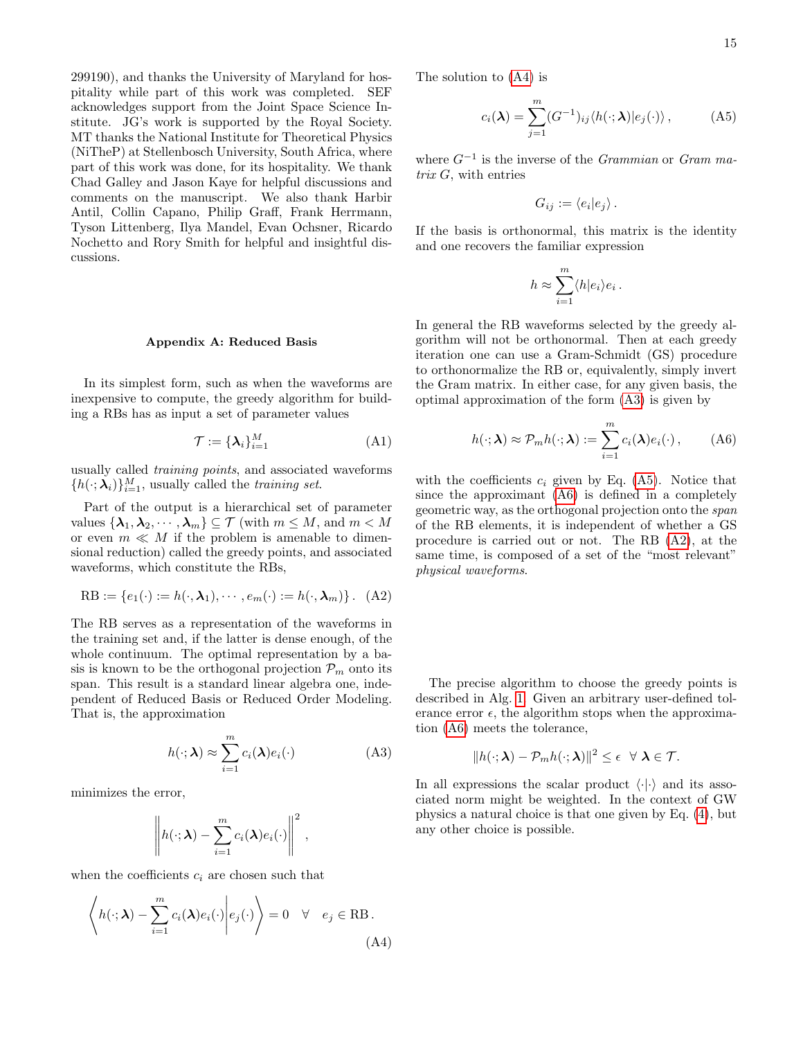299190), and thanks the University of Maryland for hospitality while part of this work was completed. SEF acknowledges support from the Joint Space Science Institute. JG's work is supported by the Royal Society. MT thanks the National Institute for Theoretical Physics (NiTheP) at Stellenbosch University, South Africa, where part of this work was done, for its hospitality. We thank Chad Galley and Jason Kaye for helpful discussions and comments on the manuscript. We also thank Harbir Antil, Collin Capano, Philip Graff, Frank Herrmann, Tyson Littenberg, Ilya Mandel, Evan Ochsner, Ricardo Nochetto and Rory Smith for helpful and insightful discussions.

### <span id="page-14-0"></span>Appendix A: Reduced Basis

In its simplest form, such as when the waveforms are inexpensive to compute, the greedy algorithm for building a RBs has as input a set of parameter values

$$
\mathcal{T} := {\mathbf{\{\lambda_i\}}_{i=1}^M} \tag{A1}
$$

usually called training points, and associated waveforms  ${h(\cdot; \lambda_i)}_{i=1}^M$ , usually called the *training set*.

Part of the output is a hierarchical set of parameter values  $\{\lambda_1, \lambda_2, \cdots, \lambda_m\} \subseteq \mathcal{T}$  (with  $m \leq M$ , and  $m < M$ or even  $m \ll M$  if the problem is amenable to dimensional reduction) called the greedy points, and associated waveforms, which constitute the RBs,

RB := 
$$
\{e_1(\cdot) := h(\cdot, \lambda_1), \cdots, e_m(\cdot) := h(\cdot, \lambda_m)\}\.
$$
 (A2)

The RB serves as a representation of the waveforms in the training set and, if the latter is dense enough, of the whole continuum. The optimal representation by a basis is known to be the orthogonal projection  $\mathcal{P}_m$  onto its span. This result is a standard linear algebra one, independent of Reduced Basis or Reduced Order Modeling. That is, the approximation

<span id="page-14-3"></span>
$$
h(\cdot; \lambda) \approx \sum_{i=1}^{m} c_i(\lambda) e_i(\cdot)
$$
 (A3)

minimizes the error,

$$
\left\| h(\cdot; \boldsymbol{\lambda}) - \sum_{i=1}^m c_i(\boldsymbol{\lambda}) e_i(\cdot) \right\|^2,
$$

when the coefficients  $c_i$  are chosen such that

$$
\left\langle h(\cdot; \boldsymbol{\lambda}) - \sum_{i=1}^{m} c_i(\boldsymbol{\lambda}) e_i(\cdot) \middle| e_j(\cdot) \right\rangle = 0 \quad \forall \quad e_j \in \text{RB}.
$$
\n(A4)

The solution to [\(A4\)](#page-14-2) is

<span id="page-14-1"></span>
$$
c_i(\lambda) = \sum_{j=1}^m (G^{-1})_{ij} \langle h(\cdot; \lambda) | e_j(\cdot) \rangle, \qquad (A5)
$$

where  $G^{-1}$  is the inverse of the *Grammian* or *Gram ma*trix G, with entries

$$
G_{ij} := \langle e_i | e_j \rangle \, .
$$

If the basis is orthonormal, this matrix is the identity and one recovers the familiar expression

<span id="page-14-4"></span>
$$
h \approx \sum_{i=1}^{m} \langle h | e_i \rangle e_i \, .
$$

In general the RB waveforms selected by the greedy algorithm will not be orthonormal. Then at each greedy iteration one can use a Gram-Schmidt (GS) procedure to orthonormalize the RB or, equivalently, simply invert the Gram matrix. In either case, for any given basis, the optimal approximation of the form [\(A3\)](#page-14-3) is given by

$$
h(\cdot;\boldsymbol{\lambda}) \approx \mathcal{P}_m h(\cdot;\boldsymbol{\lambda}) := \sum_{i=1}^m c_i(\boldsymbol{\lambda}) e_i(\cdot), \qquad (A6)
$$

<span id="page-14-5"></span>with the coefficients  $c_i$  given by Eq. [\(A5\)](#page-14-1). Notice that since the approximant [\(A6\)](#page-14-4) is defined in a completely geometric way, as the orthogonal projection onto the span of the RB elements, it is independent of whether a GS procedure is carried out or not. The RB [\(A2\)](#page-14-5), at the same time, is composed of a set of the "most relevant" physical waveforms.

The precise algorithm to choose the greedy points is described in Alg. [1.](#page-15-2) Given an arbitrary user-defined tolerance error  $\epsilon$ , the algorithm stops when the approximation [\(A6\)](#page-14-4) meets the tolerance,

$$
||h(\cdot;\boldsymbol{\lambda})-\mathcal{P}_m h(\cdot;\boldsymbol{\lambda})||^2\leq \epsilon \quad \forall \ \boldsymbol{\lambda}\in\mathcal{T}.
$$

<span id="page-14-2"></span>In all expressions the scalar product  $\langle \cdot | \cdot \rangle$  and its associated norm might be weighted. In the context of GW physics a natural choice is that one given by Eq. [\(4\)](#page-1-1), but any other choice is possible.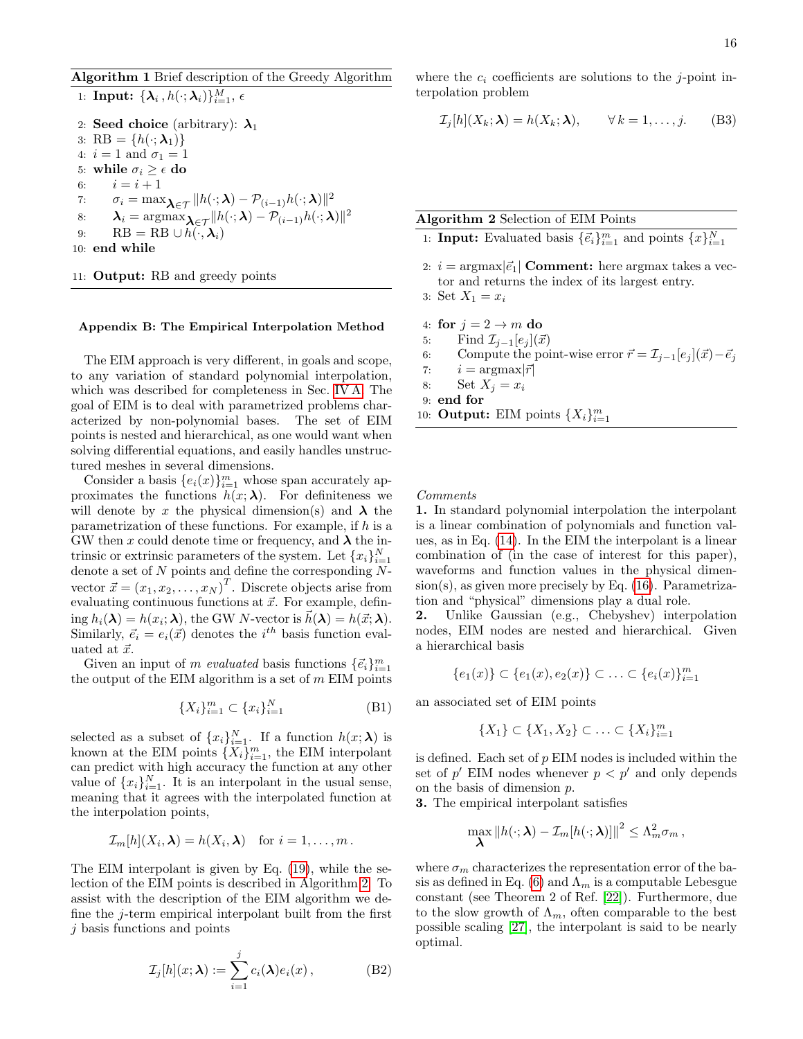# <span id="page-15-2"></span>Algorithm 1 Brief description of the Greedy Algorithm 1:  $\textbf{Input: } \{\boldsymbol{\lambda}_i\,, h(\cdot;\boldsymbol{\lambda}_i)\}_{i=1}^M, \, \epsilon$ 2: Seed choice (arbitrary):  $\lambda_1$ 3: RB =  $\{h(\cdot; \boldsymbol{\lambda}_1)\}\$ 4:  $i = 1$  and  $\sigma_1 = 1$ 5: while  $\sigma_i \geq \epsilon$  do 6:  $i = i + 1$ 7:  $\sigma_i = \max_{\boldsymbol{\lambda} \in \mathcal{T}} ||h(\cdot; \boldsymbol{\lambda}) - \mathcal{P}_{(i-1)} h(\cdot; \boldsymbol{\lambda})||^2$ 8:  $\lambda_i = \operatorname{argmax}_{\boldsymbol{\lambda} \in \mathcal{T}} ||h(\cdot; \boldsymbol{\lambda}) - \mathcal{P}_{(i-1)} h(\cdot; \boldsymbol{\lambda})||^2$ 9: RB = RB  $\cup h(\cdot, \lambda_i)$ 10: end while

11: Output: RB and greedy points

### <span id="page-15-0"></span>Appendix B: The Empirical Interpolation Method

The EIM approach is very different, in goals and scope, to any variation of standard polynomial interpolation, which was described for completeness in Sec. [IV A.](#page-4-8) The goal of EIM is to deal with parametrized problems characterized by non-polynomial bases. The set of EIM points is nested and hierarchical, as one would want when solving differential equations, and easily handles unstructured meshes in several dimensions.

Consider a basis  ${e_i(x)}_{i=1}^m$  whose span accurately approximates the functions  $h(x; \lambda)$ . For definiteness we will denote by x the physical dimension(s) and  $\lambda$  the parametrization of these functions. For example, if h is a GW then x could denote time or frequency, and  $\lambda$  the intrinsic or extrinsic parameters of the system. Let  ${x_i}_{i=1}^N$ denote a set of  $N$  points and define the corresponding  $N$ vector  $\vec{x} = (x_1, x_2, \dots, x_N)^T$ . Discrete objects arise from evaluating continuous functions at  $\vec{x}$ . For example, defining  $h_i(\boldsymbol{\lambda}) = h(x_i; \boldsymbol{\lambda})$ , the GW N-vector is  $\vec{h}(\boldsymbol{\lambda}) = h(\vec{x}; \boldsymbol{\lambda})$ . Similarly,  $\vec{e}_i = e_i(\vec{x})$  denotes the  $i^{th}$  basis function evaluated at  $\vec{x}$ .

Given an input of m evaluated basis functions  $\{\vec{e}_i\}_{i=1}^m$ the output of the EIM algorithm is a set of  $m$  EIM points

$$
\{X_i\}_{i=1}^m \subset \{x_i\}_{i=1}^N
$$
 (B1)

selected as a subset of  $\{x_i\}_{i=1}^N$ . If a function  $h(x; \lambda)$  is known at the EIM points  $\{X_i\}_{i=1}^m$ , the EIM interpolant can predict with high accuracy the function at any other value of  ${x_i}_{i=1}^N$ . It is an interpolant in the usual sense, meaning that it agrees with the interpolated function at the interpolation points,

$$
\mathcal{I}_m[h](X_i,\boldsymbol{\lambda})=h(X_i,\boldsymbol{\lambda}) \text{ for } i=1,\ldots,m.
$$

The EIM interpolant is given by Eq. [\(19\)](#page-4-7), while the selection of the EIM points is described in Algorithm [2.](#page-15-1) To assist with the description of the EIM algorithm we define the j-term empirical interpolant built from the first j basis functions and points

$$
\mathcal{I}_j[h](x;\boldsymbol{\lambda}) := \sum_{i=1}^j c_i(\boldsymbol{\lambda})e_i(x), \qquad (B2)
$$

where the  $c_i$  coefficients are solutions to the j-point interpolation problem

$$
\mathcal{I}_j[h](X_k; \lambda) = h(X_k; \lambda), \qquad \forall \, k = 1, \dots, j. \tag{B3}
$$

Algorithm 2 Selection of EIM Points

- <span id="page-15-1"></span>1: **Input:** Evaluated basis  $\{\vec{e}_i\}_{i=1}^m$  and points  $\{x\}_{i=1}^N$
- 2:  $i = \text{argmax}|\vec{e}_1|$  Comment: here argmax takes a vector and returns the index of its largest entry.
- 3: Set  $X_1 = x_i$
- 4: for  $j = 2 \rightarrow m$  do
- 5: Find  $\mathcal{I}_{i-1}[e_i](\vec{x})$
- 6: Compute the point-wise error  $\vec{r} = \mathcal{I}_{i-1}[e_i](\vec{x}) \vec{e}_i$
- 7:  $i = \text{argmax} |\vec{r}|$
- 8: Set  $X_i = x_i$
- 9: end for
- 10: **Output:** EIM points  $\{X_i\}_{i=1}^m$

Comments

1. In standard polynomial interpolation the interpolant is a linear combination of polynomials and function values, as in Eq. [\(14\)](#page-4-1). In the EIM the interpolant is a linear combination of (in the case of interest for this paper), waveforms and function values in the physical dimen $sion(s)$ , as given more precisely by Eq.  $(16)$ . Parametrization and "physical" dimensions play a dual role.

2. Unlike Gaussian (e.g., Chebyshev) interpolation nodes, EIM nodes are nested and hierarchical. Given a hierarchical basis

$$
\{e_1(x)\} \subset \{e_1(x), e_2(x)\} \subset \ldots \subset \{e_i(x)\}_{i=1}^m
$$

an associated set of EIM points

$$
\{X_1\} \subset \{X_1, X_2\} \subset \ldots \subset \{X_i\}_{i=1}^m
$$

is defined. Each set of  $p$  EIM nodes is included within the set of  $p'$  EIM nodes whenever  $p < p'$  and only depends on the basis of dimension p.

3. The empirical interpolant satisfies

$$
\max_{\boldsymbol{\lambda}} \|h(\cdot;\boldsymbol{\lambda}) - \mathcal{I}_m[h(\cdot;\boldsymbol{\lambda})]\|^2 \leq \Lambda_m^2 \sigma_m,
$$

where  $\sigma_m$  characterizes the representation error of the ba-sis as defined in Eq. [\(6\)](#page-2-2) and  $\Lambda_m$  is a computable Lebesgue constant (see Theorem 2 of Ref. [\[22\]](#page-16-11)). Furthermore, due to the slow growth of  $\Lambda_m$ , often comparable to the best possible scaling [\[27\]](#page-16-16), the interpolant is said to be nearly optimal.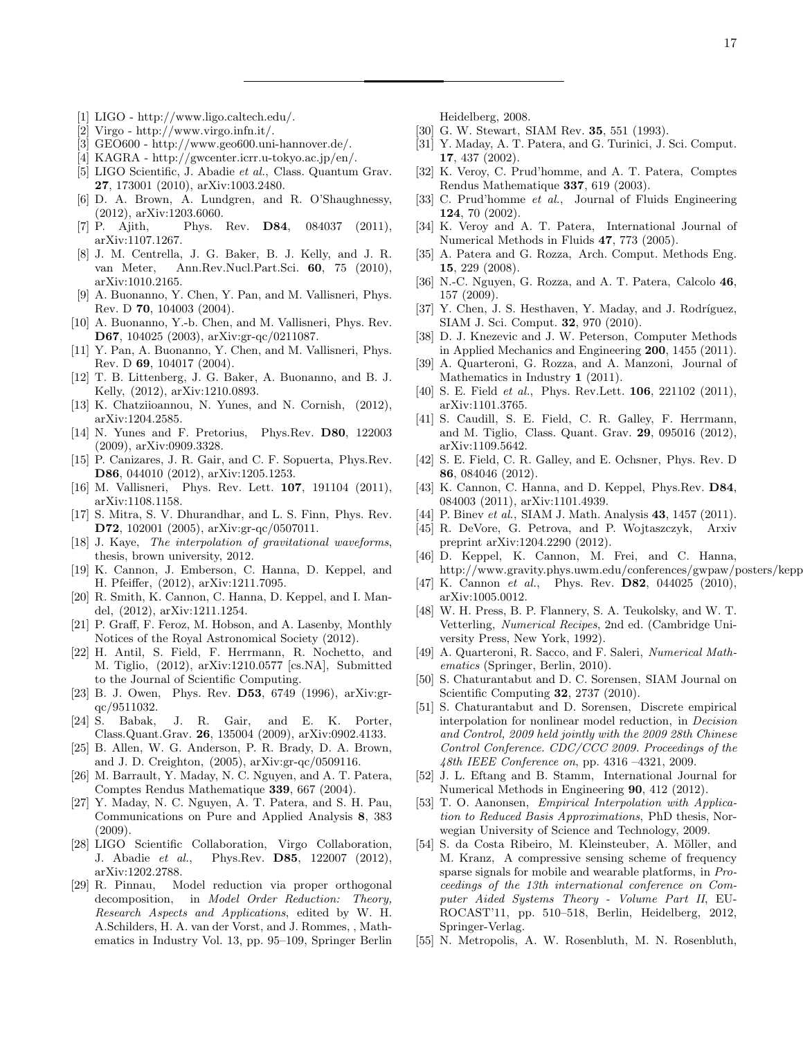- <span id="page-16-0"></span>[1] LIGO - http://www.ligo.caltech.edu/.
- [2] Virgo http://www.virgo.infn.it/.
- [3] GEO600 http://www.geo600.uni-hannover.de/.
- <span id="page-16-1"></span>[4] KAGRA - http://gwcenter.icrr.u-tokyo.ac.jp/en/.
- <span id="page-16-2"></span>[5] LIGO Scientific, J. Abadie et al., Class. Quantum Grav. 27, 173001 (2010), arXiv:1003.2480.
- [6] D. A. Brown, A. Lundgren, and R. O'Shaughnessy, (2012), arXiv:1203.6060.
- [7] P. Ajith, Phys. Rev. **D84**, 084037 (2011), arXiv:1107.1267.
- [8] J. M. Centrella, J. G. Baker, B. J. Kelly, and J. R. van Meter, Ann.Rev.Nucl.Part.Sci. 60, 75 (2010), arXiv:1010.2165.
- [9] A. Buonanno, Y. Chen, Y. Pan, and M. Vallisneri, Phys. Rev. D 70, 104003 (2004).
- [10] A. Buonanno, Y.-b. Chen, and M. Vallisneri, Phys. Rev. D67, 104025 (2003), arXiv:gr-qc/0211087.
- [11] Y. Pan, A. Buonanno, Y. Chen, and M. Vallisneri, Phys. Rev. D 69, 104017 (2004).
- <span id="page-16-3"></span>[12] T. B. Littenberg, J. G. Baker, A. Buonanno, and B. J. Kelly, (2012), arXiv:1210.0893.
- <span id="page-16-4"></span>[13] K. Chatziioannou, N. Yunes, and N. Cornish, (2012), arXiv:1204.2585.
- [14] N. Yunes and F. Pretorius, Phys.Rev. D80, 122003 (2009), arXiv:0909.3328.
- <span id="page-16-5"></span>[15] P. Canizares, J. R. Gair, and C. F. Sopuerta, Phys.Rev. D86, 044010 (2012), arXiv:1205.1253.
- <span id="page-16-6"></span>[16] M. Vallisneri, Phys. Rev. Lett. 107, 191104 (2011), arXiv:1108.1158.
- <span id="page-16-7"></span>[17] S. Mitra, S. V. Dhurandhar, and L. S. Finn, Phys. Rev. D72, 102001 (2005), arXiv:gr-qc/0507011.
- <span id="page-16-10"></span>[18] J. Kaye, The interpolation of gravitational waveforms, thesis, brown university, 2012.
- [19] K. Cannon, J. Emberson, C. Hanna, D. Keppel, and H. Pfeiffer, (2012), arXiv:1211.7095.
- <span id="page-16-8"></span>[20] R. Smith, K. Cannon, C. Hanna, D. Keppel, and I. Mandel, (2012), arXiv:1211.1254.
- <span id="page-16-9"></span>[21] P. Graff, F. Feroz, M. Hobson, and A. Lasenby, Monthly Notices of the Royal Astronomical Society (2012).
- <span id="page-16-11"></span>[22] H. Antil, S. Field, F. Herrmann, R. Nochetto, and M. Tiglio, (2012), arXiv:1210.0577 [cs.NA], Submitted to the Journal of Scientific Computing.
- <span id="page-16-12"></span>[23] B. J. Owen, Phys. Rev. D53, 6749 (1996), arXiv:grqc/9511032.
- <span id="page-16-13"></span>[24] S. Babak, J. R. Gair, and E. K. Porter, Class.Quant.Grav. 26, 135004 (2009), arXiv:0902.4133.
- <span id="page-16-14"></span>[25] B. Allen, W. G. Anderson, P. R. Brady, D. A. Brown, and J. D. Creighton, (2005), arXiv:gr-qc/0509116.
- <span id="page-16-15"></span>[26] M. Barrault, Y. Maday, N. C. Nguyen, and A. T. Patera, Comptes Rendus Mathematique 339, 667 (2004).
- <span id="page-16-16"></span>[27] Y. Maday, N. C. Nguyen, A. T. Patera, and S. H. Pau, Communications on Pure and Applied Analysis 8, 383 (2009).
- <span id="page-16-17"></span>[28] LIGO Scientific Collaboration, Virgo Collaboration, J. Abadie et al., Phys.Rev. D85, 122007 (2012), arXiv:1202.2788.
- <span id="page-16-18"></span>[29] R. Pinnau, Model reduction via proper orthogonal decomposition, in Model Order Reduction: Theory, Research Aspects and Applications, edited by W. H. A.Schilders, H. A. van der Vorst, and J. Rommes, , Mathematics in Industry Vol. 13, pp. 95–109, Springer Berlin

Heidelberg, 2008.

- <span id="page-16-19"></span>[30] G. W. Stewart, SIAM Rev. 35, 551 (1993).
- <span id="page-16-20"></span>[31] Y. Maday, A. T. Patera, and G. Turinici, J. Sci. Comput. 17, 437 (2002).
- [32] K. Veroy, C. Prud'homme, and A. T. Patera, Comptes Rendus Mathematique 337, 619 (2003).
- [33] C. Prud'homme et al., Journal of Fluids Engineering 124, 70 (2002).
- [34] K. Veroy and A. T. Patera, International Journal of Numerical Methods in Fluids 47, 773 (2005).
- [35] A. Patera and G. Rozza, Arch. Comput. Methods Eng. 15, 229 (2008).
- [36] N.-C. Nguyen, G. Rozza, and A. T. Patera, Calcolo 46, 157 (2009).
- [37] Y. Chen, J. S. Hesthaven, Y. Maday, and J. Rodríguez, SIAM J. Sci. Comput. 32, 970 (2010).
- <span id="page-16-21"></span>[38] D. J. Knezevic and J. W. Peterson, Computer Methods in Applied Mechanics and Engineering 200, 1455 (2011).
- <span id="page-16-22"></span>[39] A. Quarteroni, G. Rozza, and A. Manzoni, Journal of Mathematics in Industry 1 (2011).
- <span id="page-16-23"></span>[40] S. E. Field *et al.*, Phys. Rev.Lett. **106**, 221102 (2011), arXiv:1101.3765.
- <span id="page-16-30"></span>[41] S. Caudill, S. E. Field, C. R. Galley, F. Herrmann, and M. Tiglio, Class. Quant. Grav. 29, 095016 (2012), arXiv:1109.5642.
- <span id="page-16-27"></span>[42] S. E. Field, C. R. Galley, and E. Ochsner, Phys. Rev. D 86, 084046 (2012).
- <span id="page-16-24"></span>[43] K. Cannon, C. Hanna, and D. Keppel, Phys.Rev. **D84**, 084003 (2011), arXiv:1101.4939.
- <span id="page-16-25"></span>[44] P. Binev *et al.*, SIAM J. Math. Analysis **43**, 1457 (2011).
- <span id="page-16-26"></span>[45] R. DeVore, G. Petrova, and P. Wojtaszczyk, Arxiv preprint arXiv:1204.2290 (2012).
- <span id="page-16-28"></span>[46] D. Keppel, K. Cannon, M. Frei, and C. Hanna, http://www.gravity.phys.uwm.edu/conferences/gwpaw/posters/kepp
- <span id="page-16-29"></span>[47] K. Cannon et al., Phys. Rev. **D82**, 044025 (2010), arXiv:1005.0012.
- <span id="page-16-31"></span>[48] W. H. Press, B. P. Flannery, S. A. Teukolsky, and W. T. Vetterling, Numerical Recipes, 2nd ed. (Cambridge University Press, New York, 1992).
- <span id="page-16-32"></span>[49] A. Quarteroni, R. Sacco, and F. Saleri, Numerical Mathematics (Springer, Berlin, 2010).
- <span id="page-16-33"></span>[50] S. Chaturantabut and D. C. Sorensen, SIAM Journal on Scientific Computing 32, 2737 (2010).
- [51] S. Chaturantabut and D. Sorensen, Discrete empirical interpolation for nonlinear model reduction, in Decision and Control, 2009 held jointly with the 2009 28th Chinese Control Conference. CDC/CCC 2009. Proceedings of the 48th IEEE Conference on, pp. 4316 –4321, 2009.
- [52] J. L. Eftang and B. Stamm, International Journal for Numerical Methods in Engineering 90, 412 (2012).
- <span id="page-16-34"></span>[53] T. O. Aanonsen, Empirical Interpolation with Application to Reduced Basis Approximations, PhD thesis, Norwegian University of Science and Technology, 2009.
- <span id="page-16-35"></span>[54] S. da Costa Ribeiro, M. Kleinsteuber, A. Möller, and M. Kranz, A compressive sensing scheme of frequency sparse signals for mobile and wearable platforms, in Proceedings of the 13th international conference on Computer Aided Systems Theory - Volume Part II, EU-ROCAST'11, pp. 510–518, Berlin, Heidelberg, 2012, Springer-Verlag.
- <span id="page-16-36"></span>[55] N. Metropolis, A. W. Rosenbluth, M. N. Rosenbluth,